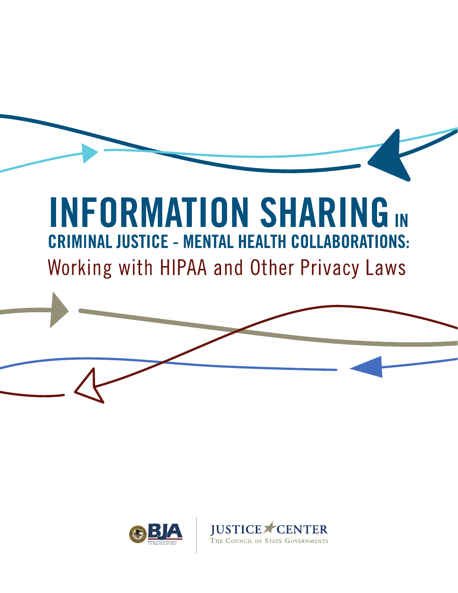# **INFORMATION SHARING IN CRIMINAL JUSTICE - MENTAL HEALTH COLLABORATIONS:** Working with HIPAA and Other Privacy Laws

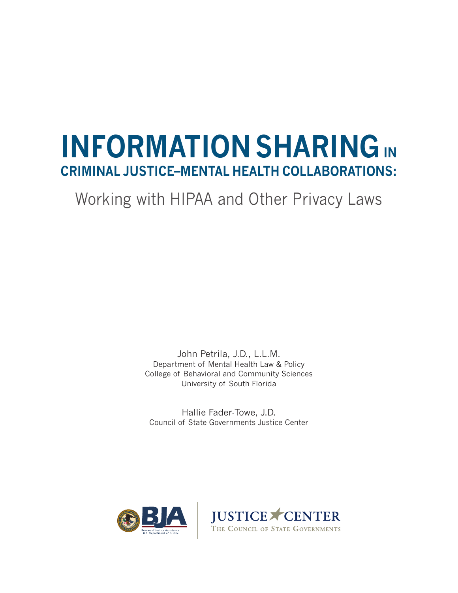# **INFORMATION SHARING IN CRIMINAL JUSTICE–MENTAL HEALTH COLLABORATIONS:**

## Working with HIPAA and Other Privacy Laws

John Petrila, J.D., L.L.M. Department of Mental Health Law & Policy College of Behavioral and Community Sciences University of South Florida

Hallie Fader-Towe, J.D. Council of State Governments Justice Center



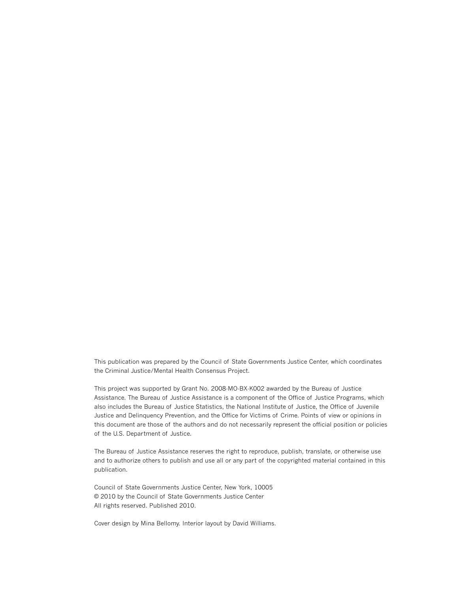This publication was prepared by the Council of State Governments Justice Center, which coordinates the Criminal Justice/Mental Health Consensus Project.

This project was supported by Grant No. 2008-MO-BX-K002 awarded by the Bureau of Justice Assistance. The Bureau of Justice Assistance is a component of the Office of Justice Programs, which also includes the Bureau of Justice Statistics, the National Institute of Justice, the Office of Juvenile Justice and Delinquency Prevention, and the Office for Victims of Crime. Points of view or opinions in this document are those of the authors and do not necessarily represent the official position or policies of the U.S. Department of Justice.

The Bureau of Justice Assistance reserves the right to reproduce, publish, translate, or otherwise use and to authorize others to publish and use all or any part of the copyrighted material contained in this publication.

Council of State Governments Justice Center, New York, 10005 © 2010 by the Council of State Governments Justice Center All rights reserved. Published 2010.

Cover design by Mina Bellomy. Interior layout by David Williams.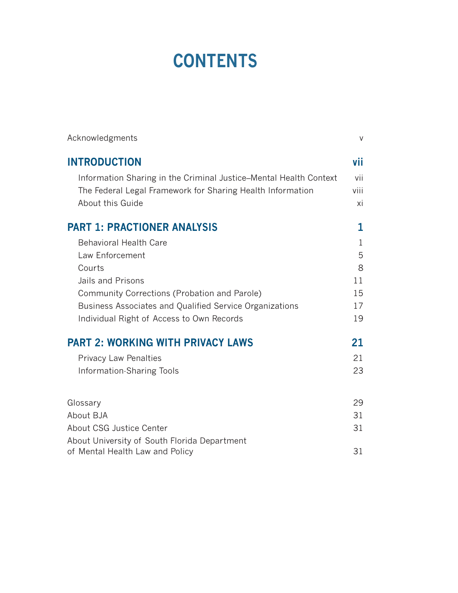# **CONTENTS**

| Acknowledgments                                                   | V    |
|-------------------------------------------------------------------|------|
| <b>INTRODUCTION</b>                                               | vii  |
| Information Sharing in the Criminal Justice–Mental Health Context | vii  |
| The Federal Legal Framework for Sharing Health Information        | viii |
| About this Guide                                                  | xi   |
| <b>PART 1: PRACTIONER ANALYSIS</b>                                | 1    |
| <b>Behavioral Health Care</b>                                     | 1    |
| Law Enforcement                                                   | 5    |
| Courts                                                            | 8    |
| Jails and Prisons                                                 | 11   |
| Community Corrections (Probation and Parole)                      | 15   |
| Business Associates and Qualified Service Organizations           | 17   |
| Individual Right of Access to Own Records                         | 19   |
| <b>PART 2: WORKING WITH PRIVACY LAWS</b>                          | 21   |
| <b>Privacy Law Penalties</b>                                      | 21   |
| Information-Sharing Tools                                         | 23   |
| Glossary                                                          | 29   |
| About BJA                                                         | 31   |
| About CSG Justice Center                                          | 31   |
| About University of South Florida Department                      |      |
| of Mental Health Law and Policy                                   | 31   |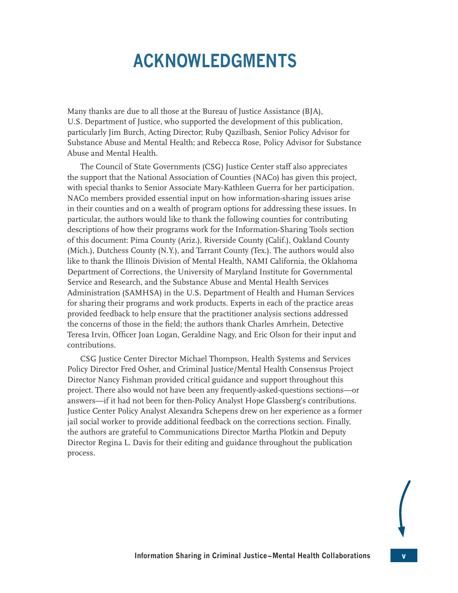## **ACKNOWLEDGMENTS**

<span id="page-5-0"></span>Many thanks are due to all those at the Bureau of Justice Assistance (BJA), U.S. Department of Justice, who supported the development of this publication, particularly Jim Burch, Acting Director; Ruby Qazilbash, Senior Policy Advisor for Substance Abuse and Mental Health; and Rebecca Rose, Policy Advisor for Substance Abuse and Mental Health.

The Council of State Governments (CSG) Justice Center staff also appreciates the support that the National Association of Counties (NACo) has given this project, with special thanks to Senior Associate Mary-Kathleen Guerra for her participation. NACo members provided essential input on how information-sharing issues arise in their counties and on a wealth of program options for addressing these issues. In particular, the authors would like to thank the following counties for contributing descriptions of how their programs work for the Information-Sharing Tools section of this document: Pima County (Ariz.), Riverside County (Calif.), Oakland County (Mich.), Dutchess County (N.Y.), and Tarrant County (Tex.). The authors would also like to thank the Illinois Division of Mental Health, NAMI California, the Oklahoma Department of Corrections, the University of Maryland Institute for Governmental Service and Research, and the Substance Abuse and Mental Health Services Administration (SAMHSA) in the U.S. Department of Health and Human Services for sharing their programs and work products. Experts in each of the practice areas provided feedback to help ensure that the practitioner analysis sections addressed the concerns of those in the field; the authors thank Charles Amrhein, Detective Teresa Irvin, Officer Joan Logan, Geraldine Nagy, and Eric Olson for their input and contributions.

CSG Justice Center Director Michael Thompson, Health Systems and Services Policy Director Fred Osher, and Criminal Justice/Mental Health Consensus Project Director Nancy Fishman provided critical guidance and support throughout this project. There also would not have been any frequently-asked-questions sections—or answers—if it had not been for then-Policy Analyst Hope Glassberg's contributions. Justice Center Policy Analyst Alexandra Schepens drew on her experience as a former jail social worker to provide additional feedback on the corrections section. Finally, the authors are grateful to Communications Director Martha Plotkin and Deputy Director Regina L. Davis for their editing and guidance throughout the publication process.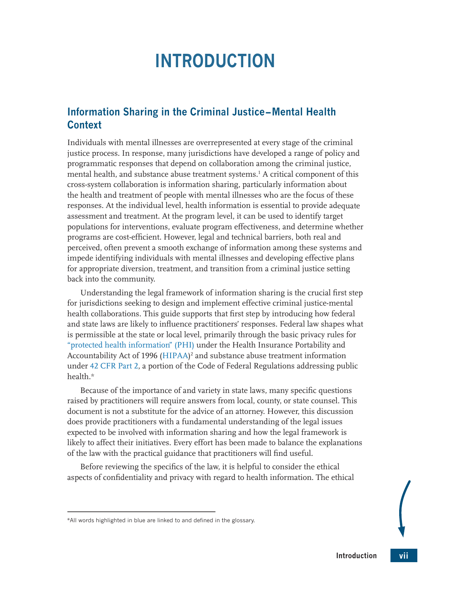## <span id="page-7-1"></span>**INTRODUCTION**

## <span id="page-7-0"></span>**Information Sharing in the Criminal Justice – Mental Health Context**

Individuals with mental illnesses are overrepresented at every stage of the criminal justice process. In response, many jurisdictions have developed a range of policy and programmatic responses that depend on collaboration among the criminal justice, mental health, and substance abuse treatment systems.[1](#page-12-0) A critical component of this cross-system collaboration is information sharing, particularly information about the health and treatment of people with mental illnesses who are the focus of these responses. At the individual level, health information is essential to provide adequate assessment and treatment. At the program level, it can be used to identify target populations for interventions, evaluate program effectiveness, and determine whether programs are cost-efficient. However, legal and technical barriers, both real and perceived, often prevent a smooth exchange of information among these systems and impede identifying individuals with mental illnesses and developing effective plans for appropriate diversion, treatment, and transition from a criminal justice setting back into the community.

Understanding the legal framework of information sharing is the crucial first step for jurisdictions seeking to design and implement effective criminal justice-mental health collaborations. This guide supports that first step by introducing how federal and state laws are likely to influence practitioners' responses. Federal law shapes what is permissible at the state or local level, primarily through the basic privacy rules for ["protected health information" \(PHI\)](#page-44-0) under the Health Insurance Portability and Accountability Act of 1996 ([HIPAA\)](#page-43-1) [2](#page-12-1) and substance abuse treatment information under [42 CFR Part 2,](#page-43-2) a portion of the Code of Federal Regulations addressing public health.\*

<span id="page-7-2"></span>Because of the importance of and variety in state laws, many specific questions raised by practitioners will require answers from local, county, or state counsel. This document is not a substitute for the advice of an attorney. However, this discussion does provide practitioners with a fundamental understanding of the legal issues expected to be involved with information sharing and how the legal framework is likely to affect their initiatives. Every effort has been made to balance the explanations of the law with the practical guidance that practitioners will find useful.

Before reviewing the specifics of the law, it is helpful to consider the ethical aspects of confidentiality and privacy with regard to health information. The ethical

<sup>\*</sup>All words highlighted in blue are linked to and defined in the glossary.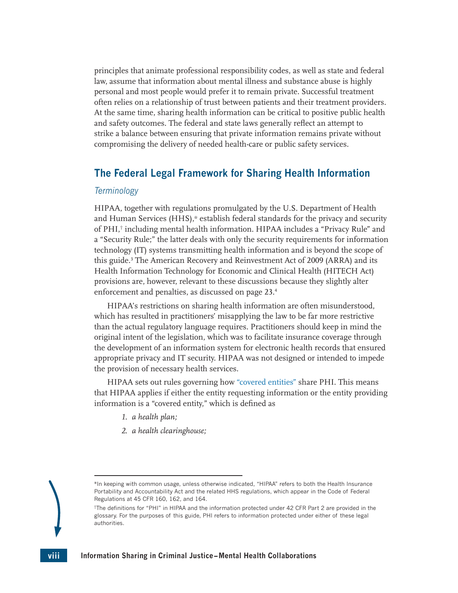<span id="page-8-0"></span>principles that animate professional responsibility codes, as well as state and federal law, assume that information about mental illness and substance abuse is highly personal and most people would prefer it to remain private. Successful treatment often relies on a relationship of trust between patients and their treatment providers. At the same time, sharing health information can be critical to positive public health and safety outcomes. The federal and state laws generally reflect an attempt to strike a balance between ensuring that private information remains private without compromising the delivery of needed health-care or public safety services.

## **The Federal Legal Framework for Sharing Health Information**

#### *Terminology*

HIPAA, together with regulations promulgated by the U.S. Department of Health and Human Services (HHS),\* establish federal standards for the privacy and security of PHI,† including mental health information. HIPAA includes a "Privacy Rule" and a "Security Rule;" the latter deals with only the security requirements for information technology (IT) systems transmitting health information and is beyond the scope of this guide.<sup>[3](#page-12-2)</sup> The American Recovery and Reinvestment Act of 2009 (ARRA) and its Health Information Technology for Economic and Clinical Health (HITECH Act) provisions are, however, relevant to these discussions because they slightly alter enforcement and penalties, as discussed on page 23[.4](#page-12-3)

<span id="page-8-1"></span>HIPAA's restrictions on sharing health information are often misunderstood, which has resulted in practitioners' misapplying the law to be far more restrictive than the actual regulatory language requires. Practitioners should keep in mind the original intent of the legislation, which was to facilitate insurance coverage through the development of an information system for electronic health records that ensured appropriate privacy and IT security. HIPAA was not designed or intended to impede the provision of necessary health services.

HIPAA sets out rules governing how ["covered entities"](#page-43-3) share PHI. This means that HIPAA applies if either the entity requesting information or the entity providing information is a "covered entity," which is defined as

- <span id="page-8-2"></span>*1. a health plan;*
- *2. a health clearinghouse;*

<sup>\*</sup>In keeping with common usage, unless otherwise indicated, "HIPAA" refers to both the Health Insurance Portability and Accountability Act and the related HHS regulations, which appear in the Code of Federal Regulations at 45 CFR 160, 162, and 164.

<sup>†</sup> The definitions for "PHI" in HIPAA and the information protected under 42 CFR Part 2 are provided in the glossary. For the purposes of this guide, PHI refers to information protected under either of these legal authorities.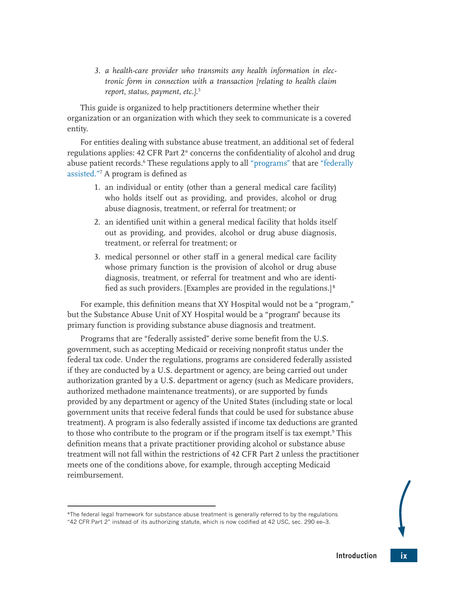<span id="page-9-0"></span>*3. a health-care provider who transmits any health information in electronic form in connection with a transaction [relating to health claim report, status, payment, etc.].[5](#page-12-4)*

This guide is organized to help practitioners determine whether their organization or an organization with which they seek to communicate is a covered entity.

For entities dealing with substance abuse treatment, an additional set of federal regulations applies: 42 CFR Part 2\* concerns the confidentiality of alcohol and drug abuse patient records.<sup>6</sup> These regulations apply to all ["programs"](#page-44-1) that are "federally [assisted."](#page-43-4)[7](#page-12-6) A program is defined as

- <span id="page-9-2"></span><span id="page-9-1"></span>1. an individual or entity (other than a general medical care facility) who holds itself out as providing, and provides, alcohol or drug abuse diagnosis, treatment, or referral for treatment; or
- 2. an identified unit within a general medical facility that holds itself out as providing, and provides, alcohol or drug abuse diagnosis, treatment, or referral for treatment; or
- <span id="page-9-4"></span><span id="page-9-3"></span>3. medical personnel or other staff in a general medical care facility whose primary function is the provision of alcohol or drug abuse diagnosis, treatment, or referral for treatment and who are identified as such providers. [Examples are provided in the regulations.] [8](#page-13-0)

For example, this definition means that XY Hospital would not be a "program," but the Substance Abuse Unit of XY Hospital would be a "program" because its primary function is providing substance abuse diagnosis and treatment.

Programs that are "federally assisted" derive some benefit from the U.S. government, such as accepting Medicaid or receiving nonprofit status under the federal tax code. Under the regulations, programs are considered federally assisted if they are conducted by a U.S. department or agency, are being carried out under authorization granted by a U.S. department or agency (such as Medicare providers, authorized methadone maintenance treatments), or are supported by funds provided by any department or agency of the United States (including state or local government units that receive federal funds that could be used for substance abuse treatment). A program is also federally assisted if income tax deductions are granted to those who contribute to the program or if the program itself is tax exempt.<sup>[9](#page-13-1)</sup> This definition means that a private practitioner providing alcohol or substance abuse treatment will not fall within the restrictions of 42 CFR Part 2 unless the practitioner meets one of the conditions above, for example, through accepting Medicaid reimbursement.

<sup>\*</sup>The federal legal framework for substance abuse treatment is generally referred to by the regulations "42 CFR Part 2" instead of its authorizing statute, which is now codified at 42 USC, sec. 290 ee–3.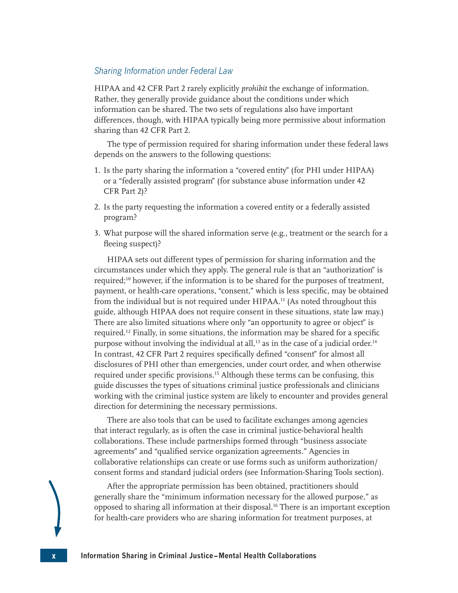### *Sharing Information under Federal Law*

HIPAA and 42 CFR Part 2 rarely explicitly *prohibit* the exchange of information. Rather, they generally provide guidance about the conditions under which information can be shared. The two sets of regulations also have important differences, though, with HIPAA typically being more permissive about information sharing than 42 CFR Part 2.

The type of permission required for sharing information under these federal laws depends on the answers to the following questions:

- 1. Is the party sharing the information a "covered entity" (for PHI under HIPAA) or a "federally assisted program" (for substance abuse information under 42 CFR Part 2)?
- 2. Is the party requesting the information a covered entity or a federally assisted program?
- 3. What purpose will the shared information serve (e.g., treatment or the search for a fleeing suspect)?

<span id="page-10-2"></span><span id="page-10-1"></span><span id="page-10-0"></span>HIPAA sets out different types of permission for sharing information and the circumstances under which they apply. The general rule is that an "authorization" is required[;10](#page-13-2) however, if the information is to be shared for the purposes of treatment, payment, or health-care operations, "consent," which is less specific, may be obtained from the individual but is not required under HIPAA.<sup>[1](#page-13-3)1</sup> (As noted throughout this guide, although HIPAA does not require consent in these situations, state law may.) There are also limited situations where only "an opportunity to agree or object" is required[.1](#page-13-4)2 Finally, in some situations, the information may be shared for a specific purpose without involving the individual at all,<sup>[1](#page-13-6)3</sup> as in the case of a judicial order.<sup>14</sup> In contrast, 42 CFR Part 2 requires specifically defined "consent" for almost all disclosures of PHI other than emergencies, under court order, and when otherwise required under specific provisions.<sup>[15](#page-13-7)</sup> Although these terms can be confusing, this guide discusses the types of situations criminal justice professionals and clinicians working with the criminal justice system are likely to encounter and provides general direction for determining the necessary permissions.

<span id="page-10-5"></span><span id="page-10-4"></span><span id="page-10-3"></span>There are also tools that can be used to facilitate exchanges among agencies that interact regularly, as is often the case in criminal justice-behavioral health collaborations. These include partnerships formed through "business associate agreements" and "qualified service organization agreements." Agencies in collaborative relationships can create or use forms such as uniform authorization/ consent forms and standard judicial orders (see Information-Sharing Tools section).

<span id="page-10-6"></span>After the appropriate permission has been obtained, practitioners should generally share the "minimum information necessary for the allowed purpose," as opposed to sharing all information at their disposal.<sup>16</sup> There is an important exception for health-care providers who are sharing information for treatment purposes, at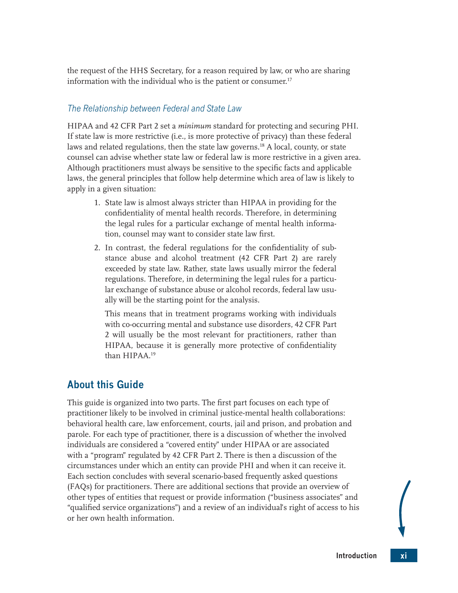<span id="page-11-0"></span>the request of the HHS Secretary, for a reason required by law, or who are sharing information with the individual who is the patient or consumer.<sup>17</sup>

## *The Relationship between Federal and State Law*

HIPAA and 42 CFR Part 2 set a *minimum* standard for protecting and securing PHI. If state law is more restrictive (i.e., is more protective of privacy) than these federal laws and related regulations, then the state law governs.<sup>18</sup> A local, county, or state counsel can advise whether state law or federal law is more restrictive in a given area. Although practitioners must always be sensitive to the specific facts and applicable laws, the general principles that follow help determine which area of law is likely to apply in a given situation:

- <span id="page-11-2"></span><span id="page-11-1"></span>1. State law is almost always stricter than HIPAA in providing for the confidentiality of mental health records. Therefore, in determining the legal rules for a particular exchange of mental health information, counsel may want to consider state law first.
- 2. In contrast, the federal regulations for the confidentiality of substance abuse and alcohol treatment (42 CFR Part 2) are rarely exceeded by state law. Rather, state laws usually mirror the federal regulations. Therefore, in determining the legal rules for a particular exchange of substance abuse or alcohol records, federal law usually will be the starting point for the analysis.

<span id="page-11-3"></span>This means that in treatment programs working with individuals with co-occurring mental and substance use disorders, 42 CFR Part 2 will usually be the most relevant for practitioners, rather than HIPAA, because it is generally more protective of confidentiality than HIPAA.[19](#page-13-11)

## **About this Guide**

This guide is organized into two parts. The first part focuses on each type of practitioner likely to be involved in criminal justice-mental health collaborations: behavioral health care, law enforcement, courts, jail and prison, and probation and parole. For each type of practitioner, there is a discussion of whether the involved individuals are considered a "covered entity" under HIPAA or are associated with a "program" regulated by 42 CFR Part 2. There is then a discussion of the circumstances under which an entity can provide PHI and when it can receive it. Each section concludes with several scenario-based frequently asked questions (FAQs) for practitioners. There are additional sections that provide an overview of other types of entities that request or provide information ("business associates" and "qualified service organizations") and a review of an individual's right of access to his or her own health information.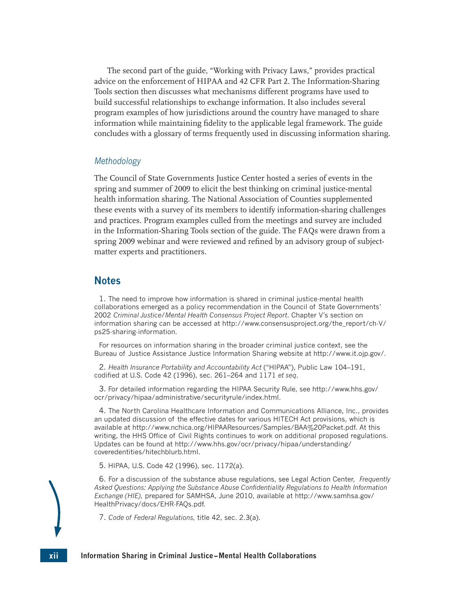The second part of the guide, "Working with Privacy Laws," provides practical advice on the enforcement of HIPAA and 42 CFR Part 2. The Information-Sharing Tools section then discusses what mechanisms different programs have used to build successful relationships to exchange information. It also includes several program examples of how jurisdictions around the country have managed to share information while maintaining fidelity to the applicable legal framework. The guide concludes with a glossary of terms frequently used in discussing information sharing.

#### *Methodology*

The Council of State Governments Justice Center hosted a series of events in the spring and summer of 2009 to elicit the best thinking on criminal justice-mental health information sharing. The National Association of Counties supplemented these events with a survey of its members to identify information-sharing challenges and practices. Program examples culled from the meetings and survey are included in the Information-Sharing Tools section of the guide. The FAQs were drawn from a spring 2009 webinar and were reviewed and refined by an advisory group of subjectmatter experts and practitioners.

### **Notes**

<span id="page-12-0"></span>[1.](#page-7-1) The need to improve how information is shared in criminal justice-mental health collaborations emerged as a policy recommendation in the Council of State Governments' 2002 *Criminal Justice/Mental Health Consensus Project Report*. Chapter V's section on information sharing can be accessed at [http://www.consensusproject.org/the\\_report/ch-V/](http://www.consensusproject.org/the_report/ch-V/ps25-sharing-information) [ps25-sharing-information](http://www.consensusproject.org/the_report/ch-V/ps25-sharing-information).

For resources on information sharing in the broader criminal justice context, see the Bureau of Justice Assistance Justice Information Sharing website at [http://www.it.ojp.gov/.](http://www.it.ojp.gov/)

<span id="page-12-1"></span>[2.](#page-7-2) *Health Insurance Portability and Accountability Act* ("HIPAA"), Public Law 104–191, codified at U.S. Code 42 (1996), sec. 261–264 and 1171 *et seq*.

<span id="page-12-2"></span>[3.](#page-8-1) For detailed information regarding the HIPAA Security Rule, see [http://www.hhs.gov/](http://www.hhs.gov/ocr/privacy/hipaa/administrative/securityrule/index.html) [ocr/privacy/hipaa/administrative/securityrule/index.html.](http://www.hhs.gov/ocr/privacy/hipaa/administrative/securityrule/index.html)

<span id="page-12-3"></span>[4.](#page-8-2) The North Carolina Healthcare Information and Communications Alliance, Inc., provides an updated discussion of the effective dates for various HITECH Act provisions, which is available at<http://www.nchica.org/HIPAAResources/Samples/BAA%20Packet.pdf>. At this writing, the HHS Office of Civil Rights continues to work on additional proposed regulations. Updates can be found at [http://www.hhs.gov/ocr/privacy/hipaa/understanding/](http://www.hhs.gov/ocr/privacy/hipaa/understanding/coveredentities/hitechblurb.html) [coveredentities/hitechblurb.html](http://www.hhs.gov/ocr/privacy/hipaa/understanding/coveredentities/hitechblurb.html).

<span id="page-12-4"></span>[5.](#page-9-0) HIPAA, U.S. Code 42 (1996), sec. 1172(a).

<span id="page-12-5"></span>[6.](#page-9-1) For a discussion of the substance abuse regulations, see Legal Action Center, *Frequently Asked Questions: Applying the Substance Abuse Confidentiality Regulations to Health Information Exchange (HIE),* prepared for SAMHSA, June 2010, available at [http://www.samhsa.gov/](http://www.samhsa.gov/HealthPrivacy/docs/EHR-FAQs.pdf) [HealthPrivacy/docs/EHR-FAQs.pdf](http://www.samhsa.gov/HealthPrivacy/docs/EHR-FAQs.pdf).

<span id="page-12-6"></span>[7.](#page-9-2) *Code of Federal Regulations,* title 42, sec. 2.3(a).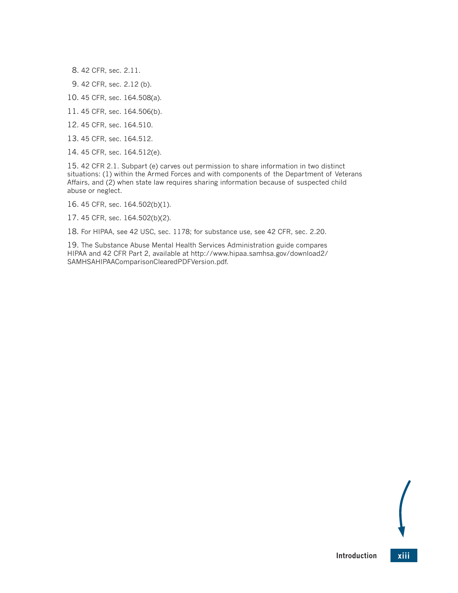- <span id="page-13-0"></span>[8.](#page-9-3) 42 CFR, sec. 2.11.
- <span id="page-13-1"></span>[9.](#page-9-4) 42 CFR, sec. 2.12 (b).
- <span id="page-13-2"></span>[10.](#page-10-0) 45 CFR, sec. 164.508(a).
- <span id="page-13-3"></span>[11.](#page-10-1) 45 CFR, sec. 164.506(b).
- <span id="page-13-4"></span>[12.](#page-10-2) 45 CFR, sec. 164.510.
- <span id="page-13-5"></span>[13.](#page-10-3) 45 CFR, sec. 164.512.
- <span id="page-13-6"></span>[14.](#page-10-4) 45 CFR, sec. 164.512(e).

<span id="page-13-7"></span>[15.](#page-10-5) 42 CFR 2.1. Subpart (e) carves out permission to share information in two distinct situations: (1) within the Armed Forces and with components of the Department of Veterans Affairs, and (2) when state law requires sharing information because of suspected child abuse or neglect.

<span id="page-13-8"></span>[16.](#page-10-6) 45 CFR, sec. 164.502(b)(1).

<span id="page-13-9"></span>[17.](#page-11-1) 45 CFR, sec. 164.502(b)(2).

<span id="page-13-10"></span>[18.](#page-11-2) For HIPAA, see 42 USC, sec. 1178; for substance use, see 42 CFR, sec. 2.20.

<span id="page-13-11"></span>[19.](#page-11-3) The Substance Abuse Mental Health Services Administration guide compares HIPAA and 42 CFR Part 2, available at [http://www.hipaa.samhsa.gov/download2/](http://www.hipaa.samhsa.gov/download2/SAMHSAHIPAAComparisonClearedPDFVersion.pdf) [SAMHSAHIPAAComparisonClearedPDFVersion.pdf.](http://www.hipaa.samhsa.gov/download2/SAMHSAHIPAAComparisonClearedPDFVersion.pdf)

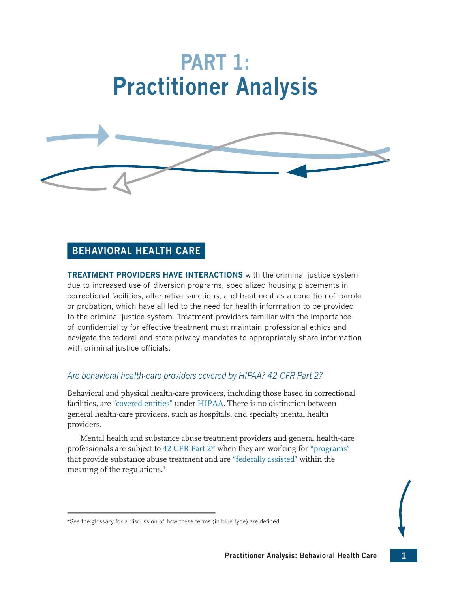# **PART 1: Practitioner Analysis**

<span id="page-15-0"></span>

## **BEHAVIORAL HEALTH CARE**

**TREATMENT PROVIDERS HAVE INTERACTIONS** with the criminal justice system due to increased use of diversion programs, specialized housing placements in correctional facilities, alternative sanctions, and treatment as a condition of parole or probation, which have all led to the need for health information to be provided to the criminal justice system. Treatment providers familiar with the importance of confidentiality for effective treatment must maintain professional ethics and navigate the federal and state privacy mandates to appropriately share information with criminal justice officials.

## *Are behavioral health-care providers covered by HIPAA? 42 CFR Part 2?*

Behavioral and physical health-care providers, including those based in correctional facilities, are ["covered entities"](#page-43-3) under [HIPAA](#page-43-1). There is no distinction between general health-care providers, such as hospitals, and specialty mental health providers.

<span id="page-15-1"></span>Mental health and substance abuse treatment providers and general health-care professionals are subject to [42 CFR Part 2](#page-43-2)\* when they are working for ["programs"](#page-44-1) that provide substance abuse treatment and are ["federally assisted"](#page-43-4) within the meaning of the regulations.<sup>[1](#page-18-0)</sup>

<sup>\*</sup>See the glossary for a discussion of how these terms (in blue type) are defined.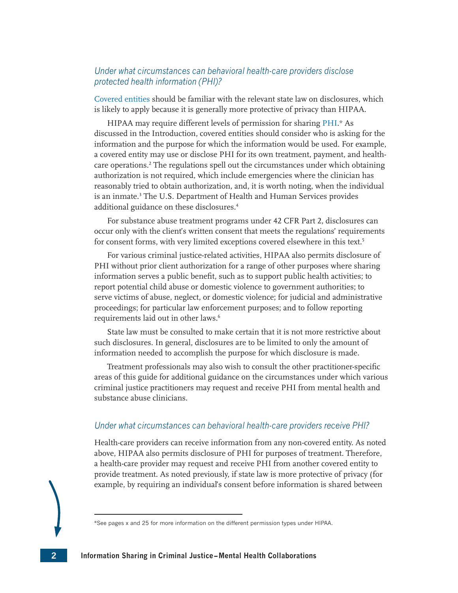## *Under what circumstances can behavioral health-care providers disclose protected health information (PHI)?*

[Covered entities](#page-43-3) should be familiar with the relevant state law on disclosures, which is likely to apply because it is generally more protective of privacy than HIPAA.

<span id="page-16-0"></span>HIPAA may require different levels of permission for sharing [PHI](#page-44-0).\* As discussed in the Introduction, covered entities should consider who is asking for the information and the purpose for which the information would be used. For example, a covered entity may use or disclose PHI for its own treatment, payment, and healthcare operations[.2](#page-18-1) The regulations spell out the circumstances under which obtaining authorization is not required, which include emergencies where the clinician has reasonably tried to obtain authorization, and, it is worth noting, when the individual is an inmate.<sup>[3](#page-18-2)</sup> The U.S. Department of Health and Human Services provides additional guidance on these disclosures.<sup>[4](#page-18-3)</sup>

<span id="page-16-2"></span><span id="page-16-1"></span>For substance abuse treatment programs under 42 CFR Part 2, disclosures can occur only with the client's written consent that meets the regulations' requirements for consent forms, with very limited exceptions covered elsewhere in this text.<sup>5</sup>

<span id="page-16-3"></span>For various criminal justice-related activities, HIPAA also permits disclosure of PHI without prior client authorization for a range of other purposes where sharing information serves a public benefit, such as to support public health activities; to report potential child abuse or domestic violence to government authorities; to serve victims of abuse, neglect, or domestic violence; for judicial and administrative proceedings; for particular law enforcement purposes; and to follow reporting requirements laid out in other laws.<sup>6</sup>

<span id="page-16-4"></span>State law must be consulted to make certain that it is not more restrictive about such disclosures. In general, disclosures are to be limited to only the amount of information needed to accomplish the purpose for which disclosure is made.

Treatment professionals may also wish to consult the other practitioner-specific areas of this guide for additional guidance on the circumstances under which various criminal justice practitioners may request and receive PHI from mental health and substance abuse clinicians.

#### *Under what circumstances can behavioral health-care providers receive PHI?*

Health-care providers can receive information from any non-covered entity. As noted above, HIPAA also permits disclosure of PHI for purposes of treatment. Therefore, a health-care provider may request and receive PHI from another covered entity to provide treatment. As noted previously, if state law is more protective of privacy (for example, by requiring an individual's consent before information is shared between



<sup>\*</sup>See pages x and 25 for more information on the different permission types under HIPAA.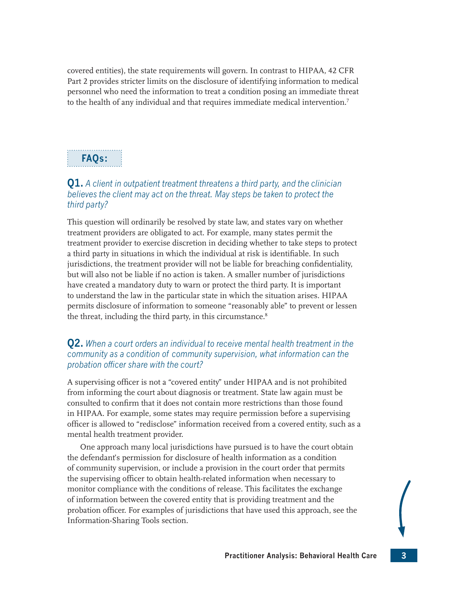covered entities), the state requirements will govern. In contrast to HIPAA, 42 CFR Part 2 provides stricter limits on the disclosure of identifying information to medical personnel who need the information to treat a condition posing an immediate threat to the health of any individual and that requires immediate medical intervention.<sup>7</sup>

## <span id="page-17-0"></span>**FAQs:**

## **Q1.** *A client in outpatient treatment threatens a third party, and the clinician believes the client may act on the threat. May steps be taken to protect the third party?*

This question will ordinarily be resolved by state law, and states vary on whether treatment providers are obligated to act. For example, many states permit the treatment provider to exercise discretion in deciding whether to take steps to protect a third party in situations in which the individual at risk is identifiable. In such jurisdictions, the treatment provider will not be liable for breaching confidentiality, but will also not be liable if no action is taken. A smaller number of jurisdictions have created a mandatory duty to warn or protect the third party. It is important to understand the law in the particular state in which the situation arises. HIPAA permits disclosure of information to someone "reasonably able" to prevent or lessen the threat, including the third party, in this circumstance.<sup>8</sup>

## <span id="page-17-1"></span>**Q2.** *When a court orders an individual to receive mental health treatment in the community as a condition of community supervision, what information can the probation officer share with the court?*

A supervising officer is not a "covered entity" under HIPAA and is not prohibited from informing the court about diagnosis or treatment. State law again must be consulted to confirm that it does not contain more restrictions than those found in HIPAA. For example, some states may require permission before a supervising officer is allowed to "redisclose" information received from a covered entity, such as a mental health treatment provider.

One approach many local jurisdictions have pursued is to have the court obtain the defendant's permission for disclosure of health information as a condition of community supervision, or include a provision in the court order that permits the supervising officer to obtain health-related information when necessary to monitor compliance with the conditions of release. This facilitates the exchange of information between the covered entity that is providing treatment and the probation officer. For examples of jurisdictions that have used this approach, see the Information-Sharing Tools section.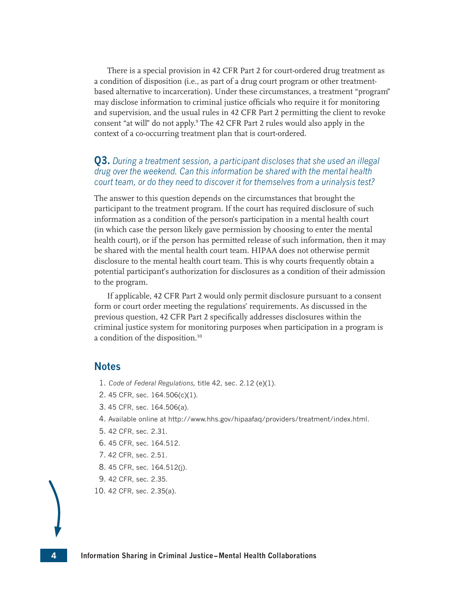There is a special provision in 42 CFR Part 2 for court-ordered drug treatment as a condition of disposition (i.e., as part of a drug court program or other treatmentbased alternative to incarceration). Under these circumstances, a treatment "program" may disclose information to criminal justice officials who require it for monitoring and supervision, and the usual rules in 42 CFR Part 2 permitting the client to revoke consent "at will" do not apply.[9](#page-18-8) The 42 CFR Part 2 rules would also apply in the context of a co-occurring treatment plan that is court-ordered.

## <span id="page-18-10"></span>**Q3.** *During a treatment session, a participant discloses that she used an illegal drug over the weekend. Can this information be shared with the mental health court team, or do they need to discover it for themselves from a urinalysis test?*

The answer to this question depends on the circumstances that brought the participant to the treatment program. If the court has required disclosure of such information as a condition of the person's participation in a mental health court (in which case the person likely gave permission by choosing to enter the mental health court), or if the person has permitted release of such information, then it may be shared with the mental health court team. HIPAA does not otherwise permit disclosure to the mental health court team. This is why courts frequently obtain a potential participant's authorization for disclosures as a condition of their admission to the program.

If applicable, 42 CFR Part 2 would only permit disclosure pursuant to a consent form or court order meeting the regulations' requirements. As discussed in the previous question, 42 CFR Part 2 specifically addresses disclosures within the criminal justice system for monitoring purposes when participation in a program is a condition of the disposition.<sup>[10](#page-18-9)</sup>

## **Notes**

- <span id="page-18-11"></span><span id="page-18-0"></span>[1.](#page-15-1) *Code of Federal Regulations,* title 42, sec. 2.12 (e)(1).
- <span id="page-18-1"></span>[2.](#page-16-0) 45 CFR, sec. 164.506(c)(1).
- <span id="page-18-2"></span>[3.](#page-16-1) 45 CFR, sec. 164.506(a).
- <span id="page-18-3"></span>[4.](#page-16-2) Available online at<http://www.hhs.gov/hipaafaq/providers/treatment/index.html>.
- <span id="page-18-4"></span>[5.](#page-16-3) 42 CFR, sec. 2.31.
- <span id="page-18-5"></span>[6.](#page-16-4) 45 CFR, sec. 164.512.
- <span id="page-18-6"></span>[7.](#page-17-0) 42 CFR, sec. 2.51.
- <span id="page-18-7"></span>[8.](#page-17-1) 45 CFR, sec. 164.512(j).
- <span id="page-18-8"></span>[9.](#page-18-10) 42 CFR, sec. 2.35.
- <span id="page-18-9"></span>[10.](#page-18-11) 42 CFR, sec. 2.35(a).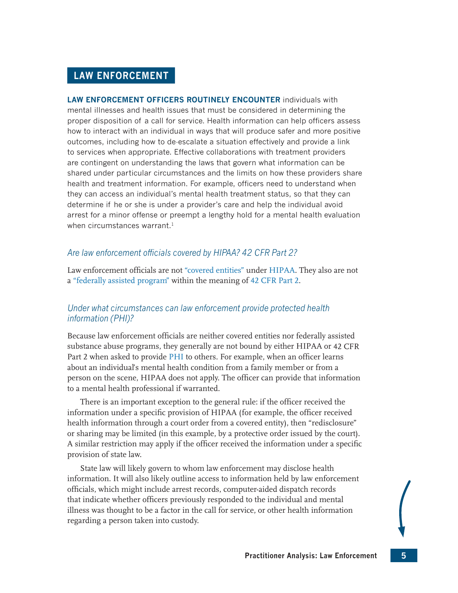## <span id="page-19-0"></span>**LAW ENFORCEMENT**

**LAW ENFORCEMENT OFFICERS ROUTINELY ENCOUNTER** individuals with mental illnesses and health issues that must be considered in determining the proper disposition of a call for service. Health information can help officers assess how to interact with an individual in ways that will produce safer and more positive outcomes, including how to de-escalate a situation effectively and provide a link to services when appropriate. Effective collaborations with treatment providers are contingent on understanding the laws that govern what information can be shared under particular circumstances and the limits on how these providers share health and treatment information. For example, officers need to understand when they can access an individual's mental health treatment status, so that they can determine if he or she is under a provider's care and help the individual avoid arrest for a minor offense or preempt a lengthy hold for a mental health evaluation when circumstances warrant.<sup>[1](#page-21-0)</sup>

## <span id="page-19-1"></span>*Are law enforcement officials covered by HIPAA? 42 CFR Part 2?*

Law enforcement officials are not ["covered entities"](#page-43-3) under [HIPAA](#page-43-1). They also are not <sup>a</sup>["federally assisted program"](#page-43-4) within the meaning of [42 CFR Part 2](#page-43-2).

## *Under what circumstances can law enforcement provide protected health information (PHI)?*

Because law enforcement officials are neither covered entities nor federally assisted substance abuse programs, they generally are not bound by either HIPAA or 42 CFR Part 2 when asked to provide [PHI](#page-44-0) to others. For example, when an officer learns about an individual's mental health condition from a family member or from a person on the scene, HIPAA does not apply. The officer can provide that information to a mental health professional if warranted.

There is an important exception to the general rule: if the officer received the information under a specific provision of HIPAA (for example, the officer received health information through a court order from a covered entity), then "redisclosure" or sharing may be limited (in this example, by a protective order issued by the court). A similar restriction may apply if the officer received the information under a specific provision of state law.

State law will likely govern to whom law enforcement may disclose health information. It will also likely outline access to information held by law enforcement officials, which might include arrest records, computer-aided dispatch records that indicate whether officers previously responded to the individual and mental illness was thought to be a factor in the call for service, or other health information regarding a person taken into custody.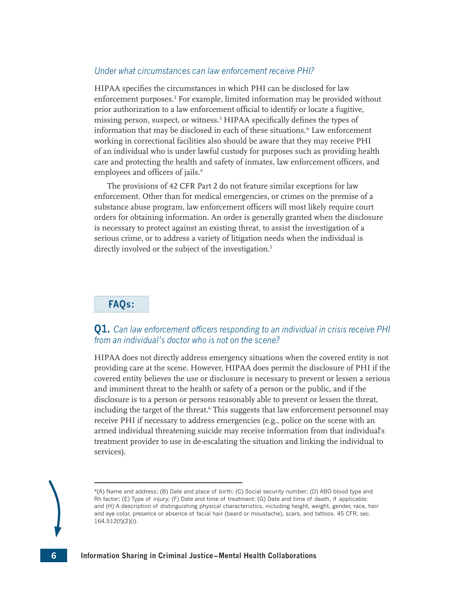### *Under what circumstances can law enforcement receive PHI?*

<span id="page-20-1"></span><span id="page-20-0"></span>HIPAA specifies the circumstances in which PHI can be disclosed for law enforcement purposes.<sup>[2](#page-21-1)</sup> For example, limited information may be provided without prior authorization to a law enforcement official to identify or locate a fugitive, missing person, suspect, or witness.<sup>3</sup> HIPAA specifically defines the types of information that may be disclosed in each of these situations.\* Law enforcement working in correctional facilities also should be aware that they may receive PHI of an individual who is under lawful custody for purposes such as providing health care and protecting the health and safety of inmates, law enforcement officers, and employees and officers of jails.<sup>[4](#page-21-3)</sup>

<span id="page-20-2"></span>The provisions of 42 CFR Part 2 do not feature similar exceptions for law enforcement. Other than for medical emergencies, or crimes on the premise of a substance abuse program, law enforcement officers will most likely require court orders for obtaining information. An order is generally granted when the disclosure is necessary to protect against an existing threat, to assist the investigation of a serious crime, or to address a variety of litigation needs when the individual is directly involved or the subject of the investigation.<sup>[5](#page-21-4)</sup>

## <span id="page-20-3"></span>**FAQs:**

## **Q1.** *Can law enforcement officers responding to an individual in crisis receive PHI from an individual's doctor who is not on the scene?*

<span id="page-20-4"></span>HIPAA does not directly address emergency situations when the covered entity is not providing care at the scene. However, HIPAA does permit the disclosure of PHI if the covered entity believes the use or disclosure is necessary to prevent or lessen a serious and imminent threat to the health or safety of a person or the public, and if the disclosure is to a person or persons reasonably able to prevent or lessen the threat, including the target of the threat.<sup>[6](#page-21-5)</sup> This suggests that law enforcement personnel may receive PHI if necessary to address emergencies (e.g., police on the scene with an armed individual threatening suicide may receive information from that individual's treatment provider to use in de-escalating the situation and linking the individual to services).

<sup>\*(</sup>A) Name and address; (B) Date and place of birth; (C) Social security number; (D) ABO blood type and Rh factor; (E) Type of injury; (F) Date and time of treatment; (G) Date and time of death, if applicable; and (H) A description of distinguishing physical characteristics, including height, weight, gender, race, hair and eye color, presence or absence of facial hair (beard or moustache), scars, and tattoos. 45 CFR, sec. 164.512(f)(2)(i).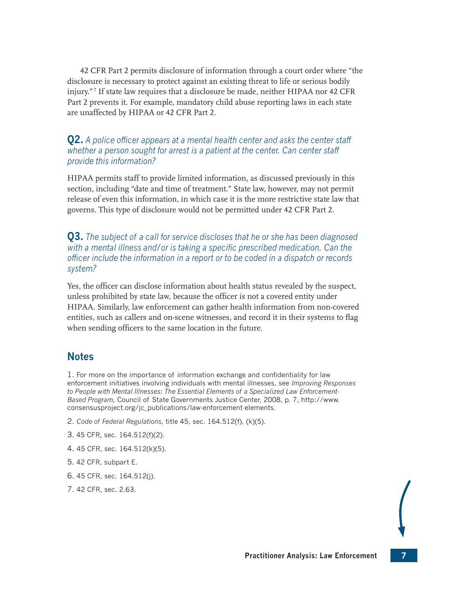<span id="page-21-7"></span>42 CFR Part 2 permits disclosure of information through a court order where "the disclosure is necessary to protect against an existing threat to life or serious bodily injury." [7](#page-21-6) If state law requires that a disclosure be made, neither HIPAA nor 42 CFR Part 2 prevents it. For example, mandatory child abuse reporting laws in each state are unaffected by HIPAA or 42 CFR Part 2.

## **Q2.** *A police officer appears at a mental health center and asks the center staff whether a person sought for arrest is a patient at the center. Can center staff provide this information?*

HIPAA permits staff to provide limited information, as discussed previously in this section, including "date and time of treatment." State law, however, may not permit release of even this information, in which case it is the more restrictive state law that governs. This type of disclosure would not be permitted under 42 CFR Part 2.

**Q3.** *The subject of a call for service discloses that he or she has been diagnosed with a mental illness and/or is taking a specific prescribed medication. Can the officer include the information in a report or to be coded in a dispatch or records system?*

Yes, the officer can disclose information about health status revealed by the suspect, unless prohibited by state law, because the officer is not a covered entity under HIPAA. Similarly, law enforcement can gather health information from non-covered entities, such as callers and on-scene witnesses, and record it in their systems to flag when sending officers to the same location in the future.

## **Notes**

<span id="page-21-0"></span>[1.](#page-19-1) For more on the importance of information exchange and confidentiality for law enforcement initiatives involving individuals with mental illnesses, see *Improving Responses to People with Mental Illnesses: The Essential Elements of a Specialized Law Enforcement-Based Program,* Council of State Governments Justice Center, 2008, p. 7, [http://www.](http://www.consensusproject.org/jc_publications/law-enforcement-elements) [consensusproject.org/jc\\_publications/law-enforcement-elements](http://www.consensusproject.org/jc_publications/law-enforcement-elements).

- <span id="page-21-1"></span>[2.](#page-20-0) *Code of Federal Regulations,* title 45, sec. 164.512(f), (k)(5).
- <span id="page-21-2"></span>[3.](#page-20-1) 45 CFR, sec. 164.512(f)(2).
- <span id="page-21-3"></span>[4.](#page-20-2) 45 CFR, sec. 164.512(k)(5).
- <span id="page-21-4"></span>[5.](#page-20-3) 42 CFR, subpart E.
- <span id="page-21-5"></span>[6.](#page-20-4) 45 CFR, sec. 164.512(j).
- <span id="page-21-6"></span>[7.](#page-21-7) 42 CFR, sec. 2.63.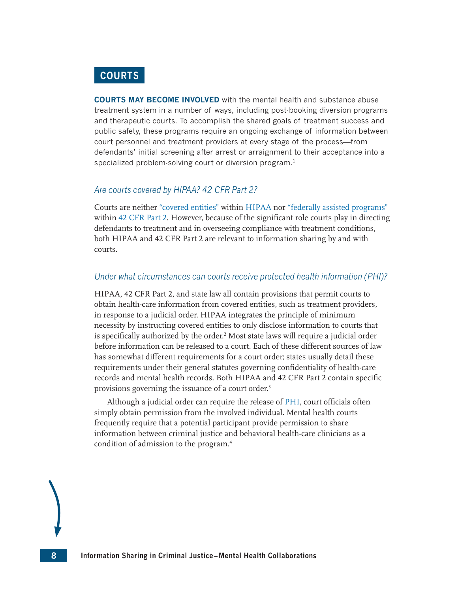## <span id="page-22-0"></span>**COURTS**

**COURTS MAY BECOME INVOLVED** with the mental health and substance abuse treatment system in a number of ways, including post-booking diversion programs and therapeutic courts. To accomplish the shared goals of treatment success and public safety, these programs require an ongoing exchange of information between court personnel and treatment providers at every stage of the process—from defendants' initial screening after arrest or arraignment to their acceptance into a specialized problem-solving court or diversion program.<sup>1</sup>

### <span id="page-22-1"></span>*Are courts covered by HIPAA? 42 CFR Part 2?*

Courts are neither ["covered entities"](#page-43-3) within [HIPAA](#page-43-1) nor ["federally assisted programs"](#page-43-4) within [42 CFR Part 2.](#page-43-2) However, because of the significant role courts play in directing defendants to treatment and in overseeing compliance with treatment conditions, both HIPAA and 42 CFR Part 2 are relevant to information sharing by and with courts.

#### *Under what circumstances can courts receive protected health information (PHI)?*

<span id="page-22-2"></span>HIPAA, 42 CFR Part 2, and state law all contain provisions that permit courts to obtain health-care information from covered entities, such as treatment providers, in response to a judicial order. HIPAA integrates the principle of minimum necessity by instructing covered entities to only disclose information to courts that is specifically authorized by the order.<sup>2</sup> Most state laws will require a judicial order before information can be released to a court. Each of these different sources of law has somewhat different requirements for a court order; states usually detail these requirements under their general statutes governing confidentiality of health-care records and mental health records. Both HIPAA and 42 CFR Part 2 contain specific provisions governing the issuance of a court order.<sup>3</sup>

<span id="page-22-4"></span><span id="page-22-3"></span>Although a judicial order can require the release of [PHI,](#page-44-0) court officials often simply obtain permission from the involved individual. Mental health courts frequently require that a potential participant provide permission to share information between criminal justice and behavioral health-care clinicians as a condition of admission to the program[.4](#page-24-3)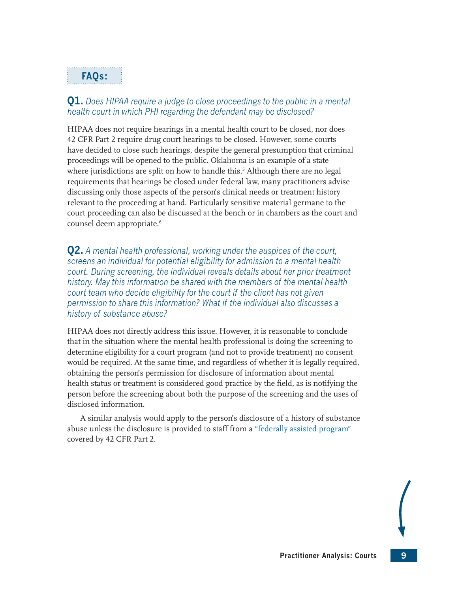## **FAQs:**

## **Q1.** *Does HIPAA require a judge to close proceedings to the public in a mental health court in which PHI regarding the defendant may be disclosed?*

<span id="page-23-0"></span>HIPAA does not require hearings in a mental health court to be closed, nor does 42 CFR Part 2 require drug court hearings to be closed. However, some courts have decided to close such hearings, despite the general presumption that criminal proceedings will be opened to the public. Oklahoma is an example of a state where jurisdictions are split on how to handle this.<sup>5</sup> Although there are no legal requirements that hearings be closed under federal law, many practitioners advise discussing only those aspects of the person's clinical needs or treatment history relevant to the proceeding at hand. Particularly sensitive material germane to the court proceeding can also be discussed at the bench or in chambers as the court and counsel deem appropriate.<sup>[6](#page-24-5)</sup>

<span id="page-23-1"></span>**Q2.** *A mental health professional, working under the auspices of the court, screens an individual for potential eligibility for admission to a mental health court. During screening, the individual reveals details about her prior treatment history. May this information be shared with the members of the mental health court team who decide eligibility for the court if the client has not given permission to share this information? What if the individual also discusses a history of substance abuse?*

HIPAA does not directly address this issue. However, it is reasonable to conclude that in the situation where the mental health professional is doing the screening to determine eligibility for a court program (and not to provide treatment) no consent would be required. At the same time, and regardless of whether it is legally required, obtaining the person's permission for disclosure of information about mental health status or treatment is considered good practice by the field, as is notifying the person before the screening about both the purpose of the screening and the uses of disclosed information.

A similar analysis would apply to the person's disclosure of a history of substance abuse unless the disclosure is provided to staff from a ["federally assisted program"](#page-43-4) covered by 42 CFR Part 2.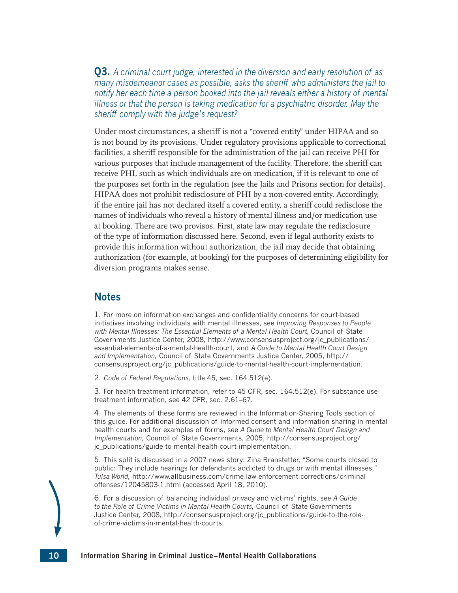**Q3.** *A criminal court judge, interested in the diversion and early resolution of as many misdemeanor cases as possible, asks the sheriff who administers the jail to notify her each time a person booked into the jail reveals either a history of mental illness or that the person is taking medication for a psychiatric disorder. May the sheriff comply with the judge's request?* 

Under most circumstances, a sheriff is not a "covered entity" under HIPAA and so is not bound by its provisions. Under regulatory provisions applicable to correctional facilities, a sheriff responsible for the administration of the jail can receive PHI for various purposes that include management of the facility. Therefore, the sheriff can receive PHI, such as which individuals are on medication, if it is relevant to one of the purposes set forth in the regulation (see the Jails and Prisons section for details). HIPAA does not prohibit redisclosure of PHI by a non-covered entity. Accordingly, if the entire jail has not declared itself a covered entity, a sheriff could redisclose the names of individuals who reveal a history of mental illness and/or medication use at booking. There are two provisos. First, state law may regulate the redisclosure of the type of information discussed here. Second, even if legal authority exists to provide this information without authorization, the jail may decide that obtaining authorization (for example, at booking) for the purposes of determining eligibility for diversion programs makes sense.

## **Notes**

<span id="page-24-0"></span>[1.](#page-22-1) For more on information exchanges and confidentiality concerns for court-based initiatives involving individuals with mental illnesses, see *Improving Responses to People with Mental Illnesses: The Essential Elements of a Mental Health Court,* Council of State Governments Justice Center, 2008, [http://www.consensusproject.org/jc\\_publications/](http://www.consensusproject.org/jc_publications/essential-elements-of-a-mental-health-court) [essential-elements-of-a-mental-health-court](http://www.consensusproject.org/jc_publications/essential-elements-of-a-mental-health-court), and *A Guide to Mental Health Court Design and Implementation,* Council of State Governments Justice Center, 2005, [http://](http://consensusproject.org/jc_publications/guide-to-mental-health-court-implementation) [consensusproject.org/jc\\_publications/guide-to-mental-health-court-implementation](http://consensusproject.org/jc_publications/guide-to-mental-health-court-implementation).

<span id="page-24-1"></span>[2.](#page-22-2) *Code of Federal Regulations,* title 45, sec. 164.512(e).

<span id="page-24-2"></span>[3.](#page-22-3) For health treatment information, refer to 45 CFR, sec. 164.512(e). For substance use treatment information, see 42 CFR, sec. 2.61–67.

<span id="page-24-3"></span>[4.](#page-22-4) The elements of these forms are reviewed in the Information-Sharing Tools section of this guide. For additional discussion of informed consent and information sharing in mental health courts and for examples of forms, see *A Guide to Mental Health Court Design and Implementation,* Council of State Governments, 2005, [http://consensusproject.org/](http://consensusproject.org/jc_publications/guide-to-mental-health-court-implementation) [jc\\_publications/guide-to-mental-health-court-implementation](http://consensusproject.org/jc_publications/guide-to-mental-health-court-implementation).

<span id="page-24-4"></span>[5.](#page-23-0) This split is discussed in a 2007 news story: Zina Branstetter, "Some courts closed to public: They include hearings for defendants addicted to drugs or with mental illnesses," *Tulsa World,* [http://www.allbusiness.com/crime-law-enforcement-corrections/criminal](http://www.allbusiness.com/crime-law-enforcement-corrections/criminal-offenses/12045803-1.html)[offenses/12045803-1.html](http://www.allbusiness.com/crime-law-enforcement-corrections/criminal-offenses/12045803-1.html) (accessed April 18, 2010).

<span id="page-24-5"></span>[6.](#page-23-1) For a discussion of balancing individual privacy and victims' rights, see *A Guide to the Role of Crime Victims in Mental Health Courts,* Council of State Governments Justice Center, 2008, [http://consensusproject.org/jc\\_publications/guide-to-the-role](http://consensusproject.org/jc_publications/guide-to-the-role-of-crime-victims-in-mental-health-courts)[of-crime-victims-in-mental-health-courts](http://consensusproject.org/jc_publications/guide-to-the-role-of-crime-victims-in-mental-health-courts).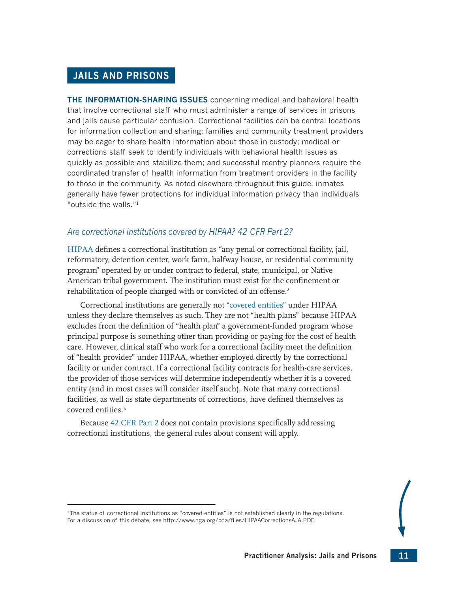## <span id="page-25-0"></span>**JAILS AND PRISONS**

**THE INFORMATION-SHARING ISSUES** concerning medical and behavioral health that involve correctional staff who must administer a range of services in prisons and jails cause particular confusion. Correctional facilities can be central locations for information collection and sharing: families and community treatment providers may be eager to share health information about those in custody; medical or corrections staff seek to identify individuals with behavioral health issues as quickly as possible and stabilize them; and successful reentry planners require the coordinated transfer of health information from treatment providers in the facility to those in the community. As noted elsewhere throughout this guide, inmates generally have fewer protections for individual information privacy than individuals "outside the walls."[1](#page-28-0)

## <span id="page-25-1"></span>*Are correctional institutions covered by HIPAA? 42 CFR Part 2?*

[HIPAA](#page-43-1) defines a correctional institution as "any penal or correctional facility, jail, reformatory, detention center, work farm, halfway house, or residential community program" operated by or under contract to federal, state, municipal, or Native American tribal government. The institution must exist for the confinement or rehabilitation of people charged with or convicted of an offense.<sup>[2](#page-28-1)</sup>

<span id="page-25-2"></span>Correctional institutions are generally not "[covered entities](#page-43-3)" under HIPAA unless they declare themselves as such. They are not "health plans" because HIPAA excludes from the definition of "health plan" a government-funded program whose principal purpose is something other than providing or paying for the cost of health care. However, clinical staff who work for a correctional facility meet the definition of "health provider" under HIPAA, whether employed directly by the correctional facility or under contract. If a correctional facility contracts for health-care services, the provider of those services will determine independently whether it is a covered entity (and in most cases will consider itself such). Note that many correctional facilities, as well as state departments of corrections, have defined themselves as covered entities.\*

Because [42 CFR Part 2](#page-43-2) does not contain provisions specifically addressing correctional institutions, the general rules about consent will apply.

<sup>\*</sup>The status of correctional institutions as "covered entities" is not established clearly in the regulations. For a discussion of this debate, see<http://www.nga.org/cda/files/HIPAACorrectionsAJA.PDF>.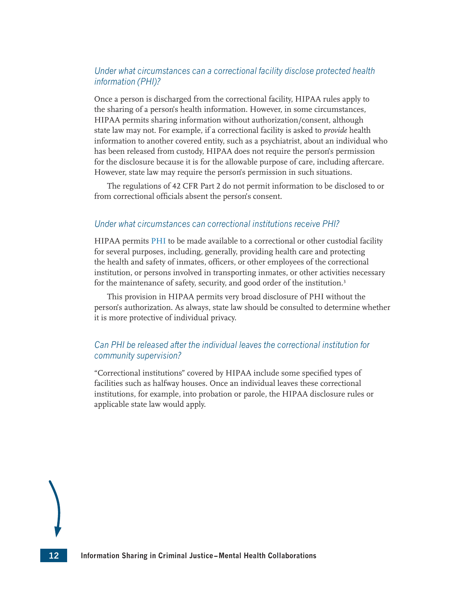## *Under what circumstances can a correctional facility disclose protected health information (PHI)?*

Once a person is discharged from the correctional facility, HIPAA rules apply to the sharing of a person's health information. However, in some circumstances, HIPAA permits sharing information without authorization/consent, although state law may not. For example, if a correctional facility is asked to *provide* health information to another covered entity, such as a psychiatrist, about an individual who has been released from custody, HIPAA does not require the person's permission for the disclosure because it is for the allowable purpose of care, including aftercare. However, state law may require the person's permission in such situations.

The regulations of 42 CFR Part 2 do not permit information to be disclosed to or from correctional officials absent the person's consent.

#### *Under what circumstances can correctional institutions receive PHI?*

HIPAA permits [PHI](#page-44-0) to be made available to a correctional or other custodial facility for several purposes, including, generally, providing health care and protecting the health and safety of inmates, officers, or other employees of the correctional institution, or persons involved in transporting inmates, or other activities necessary for the maintenance of safety, security, and good order of the institution.<sup>3</sup>

<span id="page-26-0"></span>This provision in HIPAA permits very broad disclosure of PHI without the person's authorization. As always, state law should be consulted to determine whether it is more protective of individual privacy.

## *Can PHI be released after the individual leaves the correctional institution for community supervision?*

"Correctional institutions" covered by HIPAA include some specified types of facilities such as halfway houses. Once an individual leaves these correctional institutions, for example, into probation or parole, the HIPAA disclosure rules or applicable state law would apply.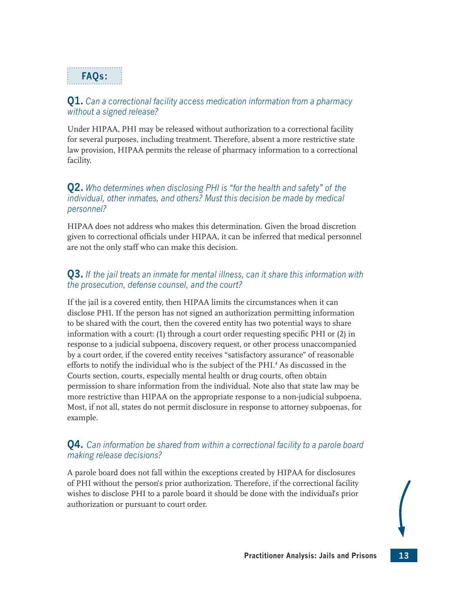## **FAQs:**

## **Q1.** *Can a correctional facility access medication information from a pharmacy without a signed release?*

Under HIPAA, PHI may be released without authorization to a correctional facility for several purposes, including treatment. Therefore, absent a more restrictive state law provision, HIPAA permits the release of pharmacy information to a correctional facility.

## **Q2.** *Who determines when disclosing PHI is "for the health and safety" of the individual, other inmates, and others? Must this decision be made by medical personnel?*

HIPAA does not address who makes this determination. Given the broad discretion given to correctional officials under HIPAA, it can be inferred that medical personnel are not the only staff who can make this decision.

## **Q3.** *If the jail treats an inmate for mental illness, can it share this information with the prosecution, defense counsel, and the court?*

<span id="page-27-0"></span>If the jail is a covered entity, then HIPAA limits the circumstances when it can disclose PHI. If the person has not signed an authorization permitting information to be shared with the court, then the covered entity has two potential ways to share information with a court: (1) through a court order requesting specific PHI or (2) in response to a judicial subpoena, discovery request, or other process unaccompanied by a court order, if the covered entity receives "satisfactory assurance" of reasonable efforts to notify the individual who is the subject of the PHI.[4](#page-28-3) As discussed in the Courts section, courts, especially mental health or drug courts, often obtain permission to share information from the individual. Note also that state law may be more restrictive than HIPAA on the appropriate response to a non-judicial subpoena. Most, if not all, states do not permit disclosure in response to attorney subpoenas, for example.

## **Q4.** *Can information be shared from within a correctional facility to a parole board making release decisions?*

A parole board does not fall within the exceptions created by HIPAA for disclosures of PHI without the person's prior authorization. Therefore, if the correctional facility wishes to disclose PHI to a parole board it should be done with the individual's prior authorization or pursuant to court order.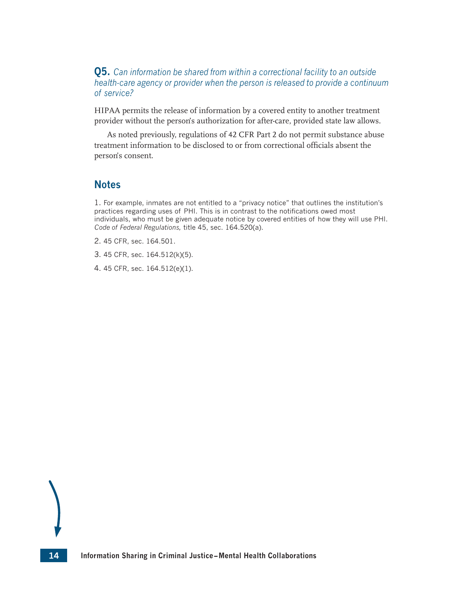**Q5.** *Can information be shared from within a correctional facility to an outside health-care agency or provider when the person is released to provide a continuum of service?* 

HIPAA permits the release of information by a covered entity to another treatment provider without the person's authorization for after-care, provided state law allows.

As noted previously, regulations of 42 CFR Part 2 do not permit substance abuse treatment information to be disclosed to or from correctional officials absent the person's consent.

## **Notes**

<span id="page-28-0"></span>[1.](#page-25-1) For example, inmates are not entitled to a "privacy notice" that outlines the institution's practices regarding uses of PHI. This is in contrast to the notifications owed most individuals, who must be given adequate notice by covered entities of how they will use PHI. *Code of Federal Regulations,* title 45, sec. 164.520(a).

- <span id="page-28-1"></span>[2.](#page-25-2) 45 CFR, sec. 164.501.
- <span id="page-28-2"></span>[3.](#page-26-0) 45 CFR, sec. 164.512(k)(5).
- <span id="page-28-3"></span>[4.](#page-27-0) 45 CFR, sec. 164.512(e)(1).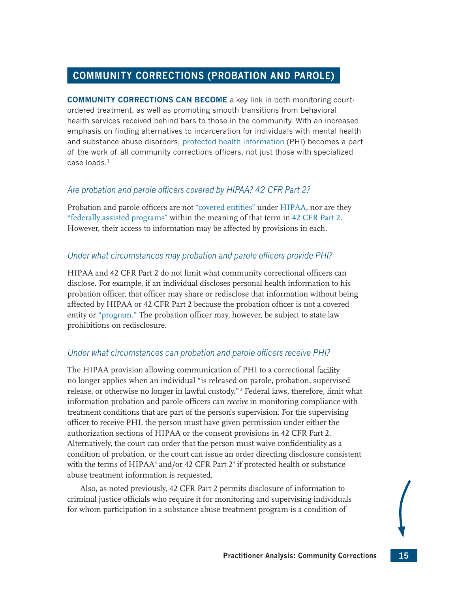## <span id="page-29-0"></span>**COMMUNITY CORRECTIONS (PROBATION AND PAROLE)**

**COMMUNITY CORRECTIONS CAN BECOME** a key link in both monitoring courtordered treatment, as well as promoting smooth transitions from behavioral health services received behind bars to those in the community. With an increased emphasis on finding alternatives to incarceration for individuals with mental health and substance abuse disorders, [protected health information](#page-44-0) (PHI) becomes a part of the work of all community corrections officers, not just those with specialized case loads<sup>[1](#page-30-0)</sup>

## <span id="page-29-1"></span>*Are probation and parole officers covered by HIPAA? 42 CFR Part 2?*

Probation and parole officers are not ["covered entities"](#page-43-3) under [HIPAA](#page-43-1), nor are they ["federally assisted programs"](#page-43-4) within the meaning of that term in [42 CFR Part 2](#page-43-2). However, their access to information may be affected by provisions in each.

## *Under what circumstances may probation and parole officers provide PHI?*

HIPAA and 42 CFR Part 2 do not limit what community correctional officers can disclose. For example, if an individual discloses personal health information to his probation officer, that officer may share or redisclose that information without being affected by HIPAA or 42 CFR Part 2 because the probation officer is not a covered entity or ["program."](#page-44-1) The probation officer may, however, be subject to state law prohibitions on redisclosure.

## *Under what circumstances can probation and parole officers receive PHI?*

<span id="page-29-2"></span>The HIPAA provision allowing communication of PHI to a correctional facility no longer applies when an individual "is released on parole, probation, supervised release, or otherwise no longer in lawful custody." [2](#page-30-1) Federal laws, therefore, limit what information probation and parole officers can *receive* in monitoring compliance with treatment conditions that are part of the person's supervision. For the supervising officer to receive PHI, the person must have given permission under either the authorization sections of HIPAA or the consent provisions in 42 CFR Part 2. Alternatively, the court can order that the person must waive confidentiality as a condition of probation, or the court can issue an order directing disclosure consistent with the terms of HIPAA<sup>[3](#page-30-2)</sup> and/or [4](#page-30-3)2 CFR Part  $2<sup>4</sup>$  if protected health or substance abuse treatment information is requested.

<span id="page-29-4"></span><span id="page-29-3"></span>Also, as noted previously, 42 CFR Part 2 permits disclosure of information to criminal justice officials who require it for monitoring and supervising individuals for whom participation in a substance abuse treatment program is a condition of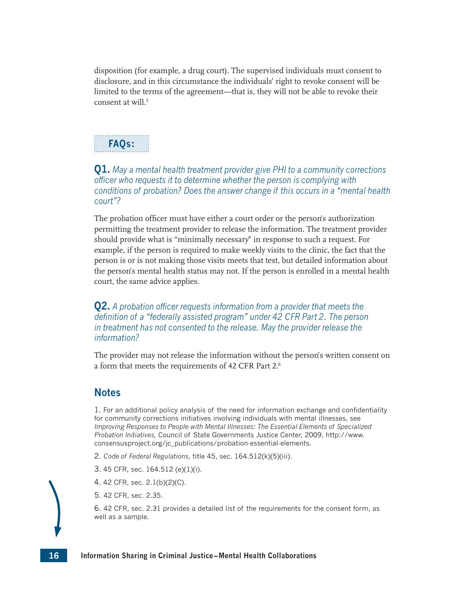disposition (for example, a drug court). The supervised individuals must consent to disclosure, and in this circumstance the individuals' right to revoke consent will be limited to the terms of the agreement—that is, they will not be able to revoke their consent at will.<sup>[5](#page-30-4)</sup>

## <span id="page-30-6"></span>**FAQs:**

## **Q1.** *May a mental health treatment provider give PHI to a community corrections officer who requests it to determine whether the person is complying with conditions of probation? Does the answer change if this occurs in a "mental health court"?*

The probation officer must have either a court order or the person's authorization permitting the treatment provider to release the information. The treatment provider should provide what is "minimally necessary" in response to such a request. For example, if the person is required to make weekly visits to the clinic, the fact that the person is or is not making those visits meets that test, but detailed information about the person's mental health status may not. If the person is enrolled in a mental health court, the same advice applies.

**Q2.** *A probation officer requests information from a provider that meets the definition of <sup>a</sup>"federally assisted program" under 42 CFR Part 2. The person in treatment has not consented to the release. May the provider release the information?* 

<span id="page-30-7"></span>The provider may not release the information without the person's written consent on a form that meets the requirements of 42 CFR Part 2.[6](#page-30-5)

## **Notes**

<span id="page-30-0"></span>[1.](#page-29-1) For an additional policy analysis of the need for information exchange and confidentiality for community corrections initiatives involving individuals with mental illnesses, see *Improving Responses to People with Mental Illnesses: The Essential Elements of Specialized Probation Initiatives,* Council of State Governments Justice Center, 2009, [http://www.](http://www.consensusproject.org/jc_publications/probation-essential-elements) [consensusproject.org/jc\\_publications/probation-essential-elements](http://www.consensusproject.org/jc_publications/probation-essential-elements).

- <span id="page-30-1"></span>[2.](#page-29-2) *Code of Federal Regulations*, title 45, sec. 164.512(k)(5)(iii).
- <span id="page-30-2"></span>[3.](#page-29-3) 45 CFR, sec. 164.512 (e)(1)(i).
- <span id="page-30-3"></span>[4.](#page-29-4) 42 CFR, sec. 2.1(b)(2)(C).
- <span id="page-30-4"></span>[5.](#page-30-6) 42 CFR, sec. 2.35.

<span id="page-30-5"></span>[6.](#page-30-7) 42 CFR, sec. 2.31 provides a detailed list of the requirements for the consent form, as well as a sample.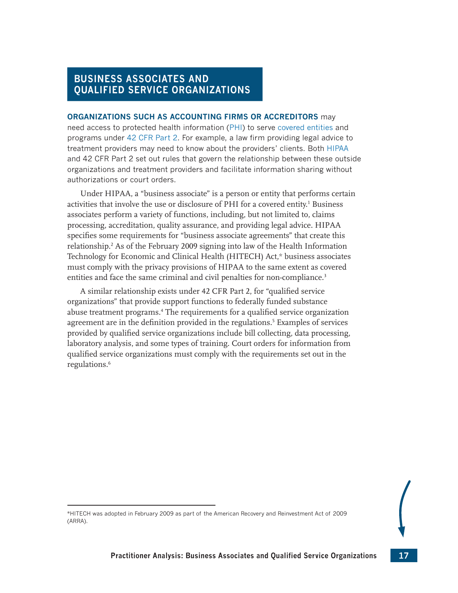## <span id="page-31-0"></span>**BUSINESS ASSOCIATES AND QUALIFIED SERVICE ORGANIZATIONS**

#### **ORGANIZATIONS SUCH AS ACCOUNTING FIRMS OR ACCREDITORS** may

need access to protected health information ([PHI](#page-44-0)) to serve [covered entities](#page-43-3) and programs under [42 CFR Part 2](#page-43-2). For example, a law firm providing legal advice to treatment providers may need to know about the providers' clients. Both [HIPAA](#page-43-1) and 42 CFR Part 2 set out rules that govern the relationship between these outside organizations and treatment providers and facilitate information sharing without authorizations or court orders.

<span id="page-31-1"></span>Under HIPAA, a "business associate" is a person or entity that performs certain activities that involve the use or disclosure of PHI for a covered entity. [1](#page-32-0) Business associates perform a variety of functions, including, but not limited to, claims processing, accreditation, quality assurance, and providing legal advice. HIPAA specifies some requirements for "business associate agreements" that create this relationship.[2](#page-32-1) As of the February 2009 signing into law of the Health Information Technology for Economic and Clinical Health (HITECH) Act,\* business associates must comply with the privacy provisions of HIPAA to the same extent as covered entities and face the same criminal and civil penalties for non-compliance.<sup>[3](#page-32-2)</sup>

<span id="page-31-6"></span><span id="page-31-5"></span><span id="page-31-4"></span><span id="page-31-3"></span><span id="page-31-2"></span>A similar relationship exists under 42 CFR Part 2, for "qualified service organizations" that provide support functions to federally funded substance abuse treatment programs.[4](#page-32-3) The requirements for a qualified service organization agreement are in the definition provided in the regulations.<sup>[5](#page-32-4)</sup> Examples of services provided by qualified service organizations include bill collecting, data processing, laboratory analysis, and some types of training. Court orders for information from qualified service organizations must comply with the requirements set out in the regulations.<sup>[6](#page-32-5)</sup>

<sup>\*</sup>HITECH was adopted in February 2009 as part of the American Recovery and Reinvestment Act of 2009 (ARRA).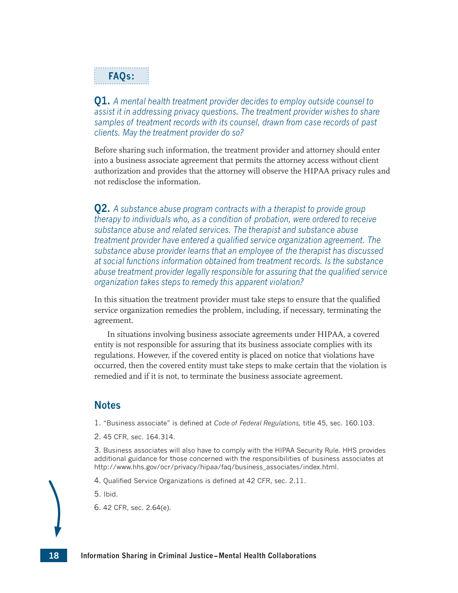## **FAQs:**

**Q1.** *A mental health treatment provider decides to employ outside counsel to assist it in addressing privacy questions. The treatment provider wishes to share samples of treatment records with its counsel, drawn from case records of past clients. May the treatment provider do so?* 

Before sharing such information, the treatment provider and attorney should enter into a business associate agreement that permits the attorney access without client authorization and provides that the attorney will observe the HIPAA privacy rules and not redisclose the information.

**Q2.** *A substance abuse program contracts with a therapist to provide group therapy to individuals who, as a condition of probation, were ordered to receive substance abuse and related services. The therapist and substance abuse treatment provider have entered a qualified service organization agreement. The substance abuse provider learns that an employee of the therapist has discussed at social functions information obtained from treatment records. Is the substance abuse treatment provider legally responsible for assuring that the qualified service organization takes steps to remedy this apparent violation?* 

In this situation the treatment provider must take steps to ensure that the qualified service organization remedies the problem, including, if necessary, terminating the agreement.

In situations involving business associate agreements under HIPAA, a covered entity is not responsible for assuring that its business associate complies with its regulations. However, if the covered entity is placed on notice that violations have occurred, then the covered entity must take steps to make certain that the violation is remedied and if it is not, to terminate the business associate agreement.

## **Notes**

<span id="page-32-0"></span>[1.](#page-31-1) "Business associate" is defined at *Code of Federal Regulations,* title 45, sec. 160.103.

<span id="page-32-1"></span>[2.](#page-31-2) 45 CFR, sec. 164.314.

<span id="page-32-2"></span>[3.](#page-31-3) Business associates will also have to comply with the HIPAA Security Rule. HHS provides additional guidance for those concerned with the responsibilities of business associates at [http://www.hhs.gov/ocr/privacy/hipaa/faq/business\\_associates/index.html](http://www.hhs.gov/ocr/privacy/hipaa/faq/business_associates/index.html).

<span id="page-32-3"></span>[4.](#page-31-4) Qualified Service Organizations is defined at 42 CFR, sec. 2.11.

<span id="page-32-4"></span>[5.](#page-31-5) Ibid.

<span id="page-32-5"></span>[6.](#page-31-6) 42 CFR, sec. 2.64(e).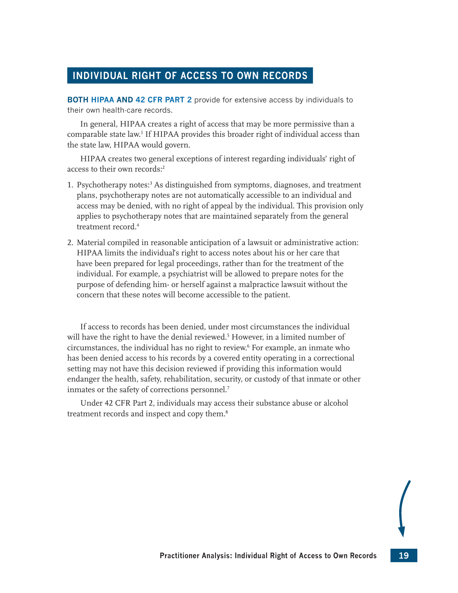## <span id="page-33-0"></span>**INDIVIDUAL RIGHT OF ACCESS TO OWN RECORDS**

**BOTH [HIPAA](#page-43-1) AND [42 CFR PART 2](#page-43-2)** provide for extensive access by individuals to their own health-care records.

<span id="page-33-1"></span>In general, HIPAA creates a right of access that may be more permissive than a comparable state law.[1](#page-34-0) If HIPAA provides this broader right of individual access than the state law, HIPAA would govern.

<span id="page-33-2"></span>HIPAA creates two general exceptions of interest regarding individuals' right of access to their own records:<sup>[2](#page-34-1)</sup>

- <span id="page-33-3"></span>1. Psychotherapy notes:[3](#page-34-2) As distinguished from symptoms, diagnoses, and treatment plans, psychotherapy notes are not automatically accessible to an individual and access may be denied, with no right of appeal by the individual. This provision only applies to psychotherapy notes that are maintained separately from the general treatment record.[4](#page-34-3)
- <span id="page-33-4"></span>2. Material compiled in reasonable anticipation of a lawsuit or administrative action: HIPAA limits the individual's right to access notes about his or her care that have been prepared for legal proceedings, rather than for the treatment of the individual. For example, a psychiatrist will be allowed to prepare notes for the purpose of defending him- or herself against a malpractice lawsuit without the concern that these notes will become accessible to the patient.

<span id="page-33-6"></span><span id="page-33-5"></span>If access to records has been denied, under most circumstances the individual will have the right to have the denial reviewed.[5](#page-34-4) However, in a limited number of circumstances, the individual has no right to review.[6](#page-34-5) For example, an inmate who has been denied access to his records by a covered entity operating in a correctional setting may not have this decision reviewed if providing this information would endanger the health, safety, rehabilitation, security, or custody of that inmate or other inmates or the safety of corrections personnel.<sup>[7](#page-34-6)</sup>

<span id="page-33-8"></span><span id="page-33-7"></span>Under 42 CFR Part 2, individuals may access their substance abuse or alcohol treatment records and inspect and copy them.<sup>[8](#page-34-7)</sup>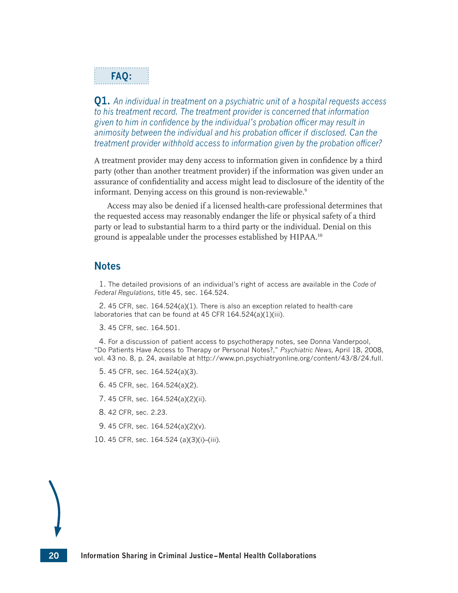## **FAQ:**

**Q1.** *An individual in treatment on a psychiatric unit of a hospital requests access to his treatment record. The treatment provider is concerned that information given to him in confidence by the individual's probation officer may result in animosity between the individual and his probation officer if disclosed. Can the treatment provider withhold access to information given by the probation officer?* 

A treatment provider may deny access to information given in confidence by a third party (other than another treatment provider) if the information was given under an assurance of confidentiality and access might lead to disclosure of the identity of the informant. Denying access on this ground is non-reviewable.<sup>[9](#page-34-8)</sup>

<span id="page-34-11"></span><span id="page-34-10"></span>Access may also be denied if a licensed health-care professional determines that the requested access may reasonably endanger the life or physical safety of a third party or lead to substantial harm to a third party or the individual. Denial on this ground is appealable under the processes established by HIPAA.[10](#page-34-9)

## **Notes**

<span id="page-34-0"></span>[1.](#page-33-1) The detailed provisions of an individual's right of access are available in the *Code of Federal Regulations,* title 45, sec. 164.524.

<span id="page-34-1"></span>[2.](#page-33-2) 45 CFR, sec. 164.524(a)(1). There is also an exception related to health-care laboratories that can be found at 45 CFR 164.524(a)(1)(iii).

<span id="page-34-2"></span>[3.](#page-33-3) 45 CFR, sec. 164.501.

<span id="page-34-3"></span>[4.](#page-33-4) For a discussion of patient access to psychotherapy notes, see Donna Vanderpool, "Do Patients Have Access to Therapy or Personal Notes?," *Psychiatric News,* April 18, 2008, vol. 43 no. 8, p. 24, available at<http://www.pn.psychiatryonline.org/content/43/8/24.full>.

- <span id="page-34-4"></span>[5.](#page-33-5) 45 CFR, sec. 164.524(a)(3).
- <span id="page-34-5"></span>[6.](#page-33-6) 45 CFR, sec. 164.524(a)(2).
- <span id="page-34-6"></span>[7.](#page-33-7) 45 CFR, sec. 164.524(a)(2)(ii).
- <span id="page-34-7"></span>[8.](#page-33-8) 42 CFR, sec. 2.23.
- <span id="page-34-8"></span>[9.](#page-34-10) 45 CFR, sec. 164.524(a)(2)(v).
- <span id="page-34-9"></span>[10.](#page-34-11) 45 CFR, sec. 164.524 (a)(3)(i)–(iii).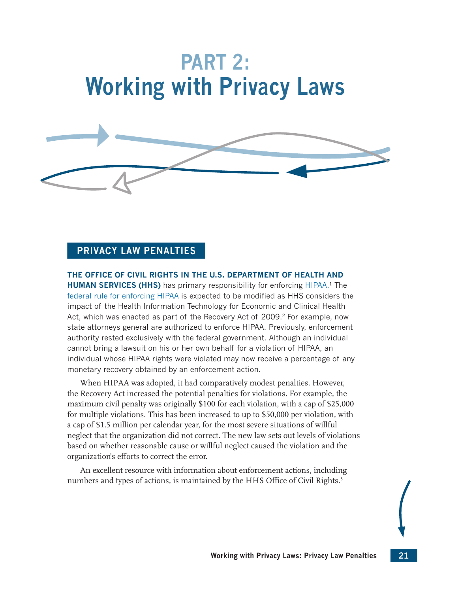# <span id="page-35-0"></span>**PART 2: Working with Privacy Laws**



## <span id="page-35-2"></span><span id="page-35-1"></span>**PRIVACY LAW PENALTIES**

**THE OFFICE OF CIVIL RIGHTS IN THE U.S. DEPARTMENT OF HEALTH AND** 

**HUMAN SERVICES (HHS)** has primary responsibility for enforcing [HIPAA](#page-43-1).<sup>[1](#page-36-0)</sup> The [federal rule for enforcing HIPAA](http://www.cms.gov/Enforcement/Downloads/EnforcementRule.pdf) is expected to be modified as HHS considers the impact of the Health Information Technology for Economic and Clinical Health Act, which was enacted as part of the Recovery Act of [2](#page-36-1)009.<sup>2</sup> For example, now state attorneys general are authorized to enforce HIPAA. Previously, enforcement authority rested exclusively with the federal government. Although an individual cannot bring a lawsuit on his or her own behalf for a violation of HIPAA, an individual whose HIPAA rights were violated may now receive a percentage of any monetary recovery obtained by an enforcement action.

When HIPAA was adopted, it had comparatively modest penalties. However, the Recovery Act increased the potential penalties for violations. For example, the maximum civil penalty was originally \$100 for each violation, with a cap of \$25,000 for multiple violations. This has been increased to up to \$50,000 per violation, with a cap of \$1.5 million per calendar year, for the most severe situations of willful neglect that the organization did not correct. The new law sets out levels of violations based on whether reasonable cause or willful neglect caused the violation and the organization's efforts to correct the error.

<span id="page-35-3"></span>An excellent resource with information about enforcement actions, including numbers and types of actions, is maintained by the HHS Office of Civil Rights.<sup>[3](#page-36-2)</sup>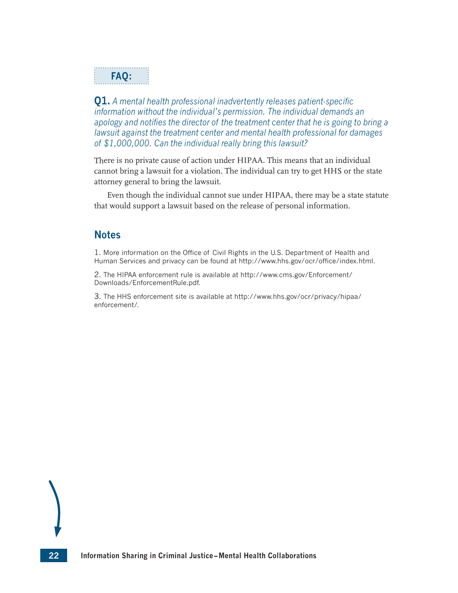## **FAQ:**

**Q1.** *A mental health professional inadvertently releases patient-specific information without the individual's permission. The individual demands an apology and notifies the director of the treatment center that he is going to bring a lawsuit against the treatment center and mental health professional for damages of \$1,000,000. Can the individual really bring this lawsuit?*

There is no private cause of action under HIPAA. This means that an individual cannot bring a lawsuit for a violation. The individual can try to get HHS or the state attorney general to bring the lawsuit.

Even though the individual cannot sue under HIPAA, there may be a state statute that would support a lawsuit based on the release of personal information.

## **Notes**

<span id="page-36-0"></span>[1.](#page-35-1) More information on the Office of Civil Rights in the U.S. Department of Health and Human Services and privacy can be found at<http://www.hhs.gov/ocr/office/index.html>.

<span id="page-36-1"></span>[2.](#page-35-2) The HIPAA enforcement rule is available at [http://www.cms.gov/Enforcement/](http://www.cms.gov/Enforcement/Downloads/EnforcementRule.pdf) [Downloads/EnforcementRule.pdf](http://www.cms.gov/Enforcement/Downloads/EnforcementRule.pdf).

<span id="page-36-2"></span>[3.](#page-35-3) The HHS enforcement site is available at [http://www.hhs.gov/ocr/privacy/hipaa/](http://www.hhs.gov/ocr/privacy/hipaa/enforcement/) [enforcement/](http://www.hhs.gov/ocr/privacy/hipaa/enforcement/).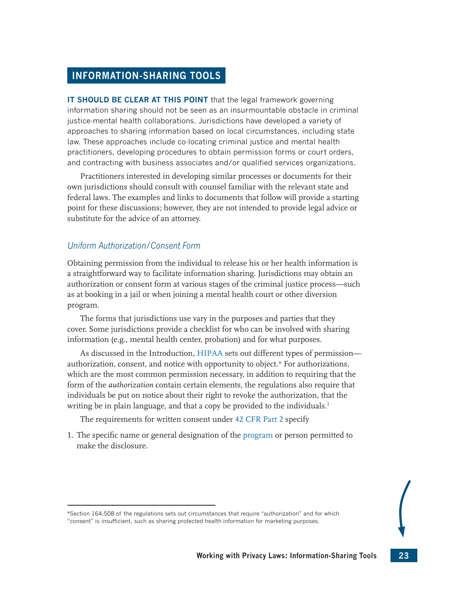## <span id="page-37-0"></span>**INFORMATION-SHARING TOOLS**

**IT SHOULD BE CLEAR AT THIS POINT** that the legal framework governing information sharing should not be seen as an insurmountable obstacle in criminal justice-mental health collaborations. Jurisdictions have developed a variety of approaches to sharing information based on local circumstances, including state law. These approaches include co-locating criminal justice and mental health practitioners, developing procedures to obtain permission forms or court orders, and contracting with business associates and/or qualified services organizations.

Practitioners interested in developing similar processes or documents for their own jurisdictions should consult with counsel familiar with the relevant state and federal laws. The examples and links to documents that follow will provide a starting point for these discussions; however, they are not intended to provide legal advice or substitute for the advice of an attorney.

## *Uniform Authorization/Consent Form*

Obtaining permission from the individual to release his or her health information is a straightforward way to facilitate information sharing. Jurisdictions may obtain an authorization or consent form at various stages of the criminal justice process—such as at booking in a jail or when joining a mental health court or other diversion program.

The forms that jurisdictions use vary in the purposes and parties that they cover. Some jurisdictions provide a checklist for who can be involved with sharing information (e.g., mental health center, probation) and for what purposes.

As discussed in the Introduction, [HIPAA](#page-43-1) sets out different types of permission authorization, consent, and notice with opportunity to object.\* For authorizations, which are the most common permission necessary, in addition to requiring that the form of the *authorization* contain certain elements, the regulations also require that individuals be put on notice about their right to revoke the authorization, that the writing be in plain language, and that a copy be provided to the individuals.<sup>[1](#page-42-0)</sup>

<span id="page-37-1"></span>The requirements for written consent under [42 CFR Part 2](#page-43-2) specify

1. The specific name or general designation of the [program](#page-44-1) or person permitted to make the disclosure.

<sup>\*</sup>Section 164.508 of the regulations sets out circumstances that require "authorization" and for which "consent" is insufficient, such as sharing protected health information for marketing purposes.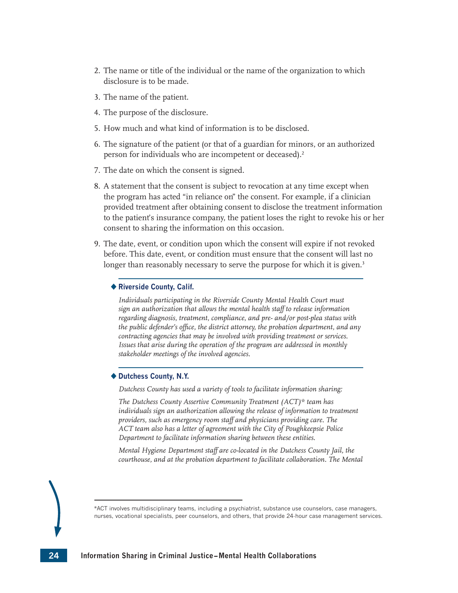- 2. The name or title of the individual or the name of the organization to which disclosure is to be made.
- 3. The name of the patient.
- 4. The purpose of the disclosure.
- 5. How much and what kind of information is to be disclosed.
- 6. The signature of the patient (or that of a guardian for minors, or an authorized person for individuals who are incompetent or deceased).<sup>2</sup>
- <span id="page-38-0"></span>7. The date on which the consent is signed.
- 8. A statement that the consent is subject to revocation at any time except when the program has acted "in reliance on" the consent. For example, if a clinician provided treatment after obtaining consent to disclose the treatment information to the patient's insurance company, the patient loses the right to revoke his or her consent to sharing the information on this occasion.
- 9. The date, event, or condition upon which the consent will expire if not revoked before. This date, event, or condition must ensure that the consent will last no longer than reasonably necessary to serve the purpose for which it is given.<sup>3</sup>

#### **Riverside County, Calif.**

<span id="page-38-1"></span>Individuals participating in the Riverside County Mental Health Court must *sign an authorization that allows the mental health staff to release information regarding diagnosis, treatment, compliance, and pre- and/or post-plea status with the public defender's office, the district attorney, the probation department, and any contracting agencies that may be involved with providing treatment or services. Issues that arise during the operation of the program are addressed in monthly stakeholder meetings of the involved agencies.*

#### **Dutchess County, N.Y.**

*Dutchess County has used a variety of tools to facilitate information sharing:*

*The Dutchess County Assertive Community Treatment (ACT)\* team has*  individuals sign an authorization allowing the release of information to treatment *providers, such as emergency room staff and physicians providing care. The ACT team also has a letter of agreement with the City of Poughkeepsie Police Department to facilitate information sharing between these entities.*

*Mental Hygiene Department staff are co-located in the Dutchess County Jail, the courthouse, and at the probation department to facilitate collaboration. The Mental* 

\*ACT involves multidisciplinary teams, including a psychiatrist, substance use counselors, case managers, nurses, vocational specialists, peer counselors, and others, that provide 24-hour case management services.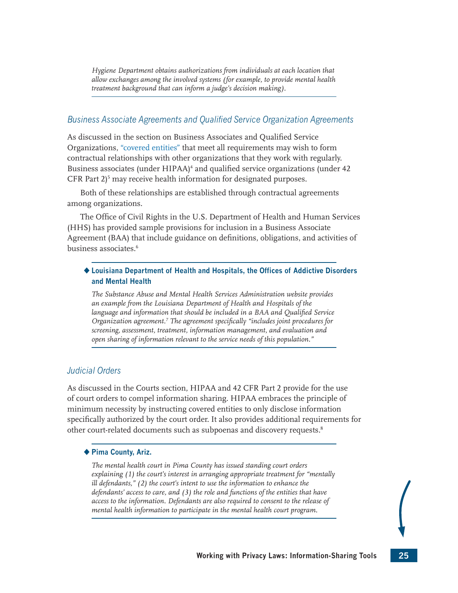<span id="page-39-0"></span>*Hygiene Department obtains authorizations from individuals at each location that allow exchanges among the involved systems (for example, to provide mental health treatment background that can inform a judge's decision making).*

## *Business Associate Agreements and Qualified Service Organization Agreements*

As discussed in the section on Business Associates and Qualified Service Organizations, ["covered entities"](#page-43-3) that meet all requirements may wish to form contractual relationships with other organizations that they work with regularly. Business associates (under HIPAA)<sup>[4](#page-42-3)</sup> and qualified service organizations (under 42  $CFR$  Part  $2)^5$  $2)^5$  may receive health information for designated purposes.

<span id="page-39-1"></span>Both of these relationships are established through contractual agreements among organizations.

The Office of Civil Rights in the U.S. Department of Health and Human Services (HHS) has provided sample provisions for inclusion in a Business Associate Agreement (BAA) that include guidance on definitions, obligations, and activities of business associates.[6](#page-42-5)

#### **Louisiana Department of Health and Hospitals, the Offices of Addictive Disorders and Mental Health**

<span id="page-39-3"></span><span id="page-39-2"></span>*The Substance Abuse and Mental Health Services Administration website provides an example from the Louisiana Department of Health and Hospitals of the language and information that should be included in a BAA and Qualified Service Organization agreement.[7](#page-42-6) The agreement specifically "includes joint procedures for screening, assessment, treatment, information management, and evaluation and open sharing of information relevant to the service needs of this population."*

### *Judicial Orders*

As discussed in the Courts section, HIPAA and 42 CFR Part 2 provide for the use of court orders to compel information sharing. HIPAA embraces the principle of minimum necessity by instructing covered entities to only disclose information specifically authorized by the court order. It also provides additional requirements for other court-related documents such as subpoenas and discovery requests.<sup>[8](#page-42-7)</sup>

#### **Pima County, Ariz.**

<span id="page-39-4"></span>*The mental health court in Pima County has issued standing court orders explaining (1) the court's interest in arranging appropriate treatment for "mentally ill defendants," (2) the court's intent to use the information to enhance the defendants' access to care, and (3) the role and functions of the entities that have access to the information. Defendants are also required to consent to the release of mental health information to participate in the mental health court program.*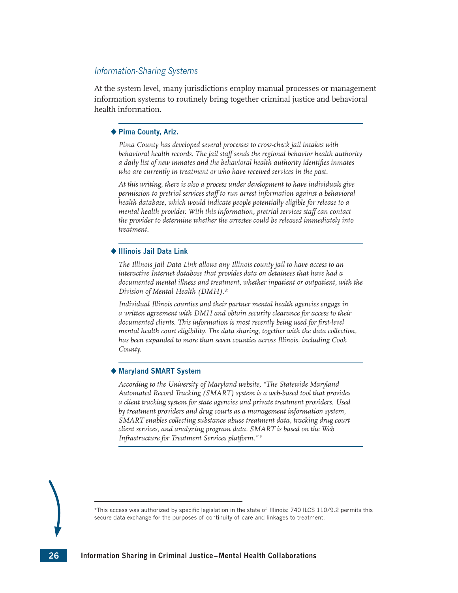#### *Information-Sharing Systems*

At the system level, many jurisdictions employ manual processes or management information systems to routinely bring together criminal justice and behavioral health information.

#### **Pima County, Ariz.**

*Pima County has developed several processes to cross-check jail intakes with behavioral health records. The jail staff sends the regional behavior health authority a daily list of new inmates and the behavioral health authority identifies inmates who are currently in treatment or who have received services in the past.*

*At this writing, there is also a process under development to have individuals give permission to pretrial services staff to run arrest information against a behavioral health database, which would indicate people potentially eligible for release to a mental health provider. With this information, pretrial services staff can contact the provider to determine whether the arrestee could be released immediately into treatment.*

#### **Illinois Jail Data Link**

*The Illinois Jail Data Link allows any Illinois county jail to have access to an interactive Internet database that provides data on detainees that have had a documented mental illness and treatment, whether inpatient or outpatient, with the Division of Mental Health (DMH).\**

*Individual Illinois counties and their partner mental health agencies engage in a written agreement with DMH and obtain security clearance for access to their documented clients. This information is most recently being used for first-level mental health court eligibility. The data sharing, together with the data collection, has been expanded to more than seven counties across Illinois, including Cook County.* 

#### **Maryland SMART System**

<span id="page-40-0"></span>*According to the University of Maryland website, "The Statewide Maryland Automated Record Tracking (SMART) system is a web-based tool that provides a client tracking system for state agencies and private treatment providers. Used by treatment providers and drug courts as a management information system, SMART enables collecting substance abuse treatment data, tracking drug court client services, and analyzing program data. SMART is based on the Web Infrastructure for Treatment Services platform." [9](#page-42-8)*



<sup>\*</sup>This access was authorized by specific legislation in the state of Illinois: 740 ILCS 110/9.2 permits this secure data exchange for the purposes of continuity of care and linkages to treatment.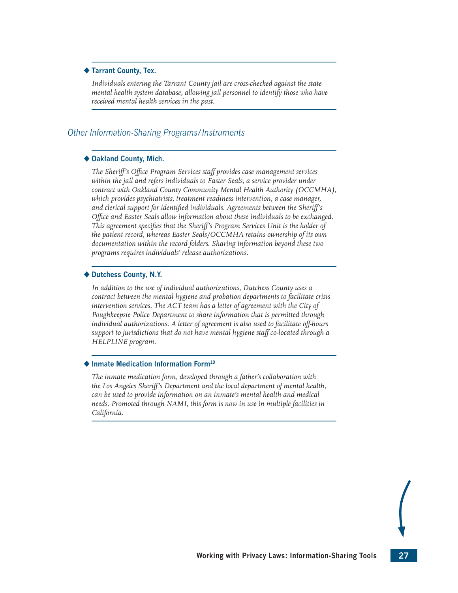#### **Tarrant County, Tex.**

*Individuals entering the Tarrant County jail are cross-checked against the state mental health system database, allowing jail personnel to identify those who have received mental health services in the past.*

#### *Other Information-Sharing Programs/Instruments*

#### ◆ Oakland County, Mich.

*The Sheriff's Office Program Services staff provides case management services within the jail and refers individuals to Easter Seals, a service provider under contract with Oakland County Community Mental Health Authority (OCCMHA), which provides psychiatrists, treatment readiness intervention, a case manager, and clerical support for identified individuals. Agreements between the Sheriff's Office and Easter Seals allow information about these individuals to be exchanged. This agreement specifies that the Sheriff's Program Services Unit is the holder of the patient record, whereas Easter Seals/OCCMHA retains ownership of its own documentation within the record folders. Sharing information beyond these two programs requires individuals' release authorizations.*

#### **Dutchess County, N.Y.**

*In addition to the use of individual authorizations, Dutchess County uses a contract between the mental hygiene and probation departments to facilitate crisis*  intervention services. The ACT team has a letter of agreement with the City of *Poughkeepsie Police Department to share information that is permitted through individual authorizations. A letter of agreement is also used to facilitate off-hours support to jurisdictions that do not have mental hygiene staff co-located through a HELPLINE program.* 

#### **Inmate Medication Information For[m10](#page-42-9)**

<span id="page-41-0"></span>*The inmate medication form, developed through a father's collaboration with the Los Angeles Sheriff's Department and the local department of mental health, can be used to provide information on an inmate's mental health and medical needs. Promoted through NAMI, this form is now in use in multiple facilities in California.*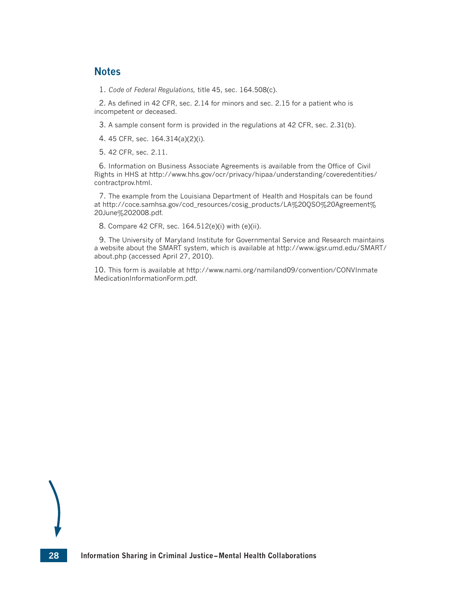## **Notes**

<span id="page-42-0"></span>[1.](#page-37-1) *Code of Federal Regulations,* title 45, sec. 164.508(c).

<span id="page-42-1"></span>[2.](#page-38-0) As defined in 42 CFR, sec. 2.14 for minors and sec. 2.15 for a patient who is incompetent or deceased.

<span id="page-42-2"></span>[3.](#page-38-1) A sample consent form is provided in the regulations at 42 CFR, sec. 2.31(b).

<span id="page-42-3"></span>[4.](#page-39-0) 45 CFR, sec. 164.314(a)(2)(i).

<span id="page-42-4"></span>[5.](#page-39-1) 42 CFR, sec. 2.11.

<span id="page-42-5"></span>[6.](#page-39-2) Information on Business Associate Agreements is available from the Office of Civil Rights in HHS at [http://www.hhs.gov/ocr/privacy/hipaa/understanding/coveredentities/](http://www.hhs.gov/ocr/privacy/hipaa/understanding/coveredentities/contractprov.html) [contractprov.html](http://www.hhs.gov/ocr/privacy/hipaa/understanding/coveredentities/contractprov.html).

<span id="page-42-6"></span>[7.](#page-39-3) The example from the Louisiana Department of Health and Hospitals can be found at [http://coce.samhsa.gov/cod\\_resources/cosig\\_products/LA%20QSO%20Agreement%](http://coce.samhsa.gov/cod_resources/cosig_products/LA%20QSO%20Agreement%20June%202008.pdf) [20June%202008.pdf](http://coce.samhsa.gov/cod_resources/cosig_products/LA%20QSO%20Agreement%20June%202008.pdf).

<span id="page-42-7"></span>[8.](#page-39-4) Compare 42 CFR, sec. 164.512(e)(i) with (e)(ii).

<span id="page-42-8"></span>[9](#page-40-0). The University of Maryland Institute for Governmental Service and Research maintains a website about the SMART system, which is available at [http://www.igsr.umd.edu/SMART/](http://www.igsr.umd.edu/SMART/about.php) [about.php](http://www.igsr.umd.edu/SMART/about.php) (accessed April 27, 2010).

<span id="page-42-9"></span>[10.](#page-41-0) This form is available at [http://www.nami.org/namiland09/convention/CONVInmate](http://www.nami.org/namiland09/convention/CONVInmateMedicationInformationForm.pdf) [MedicationInformationForm.pdf](http://www.nami.org/namiland09/convention/CONVInmateMedicationInformationForm.pdf).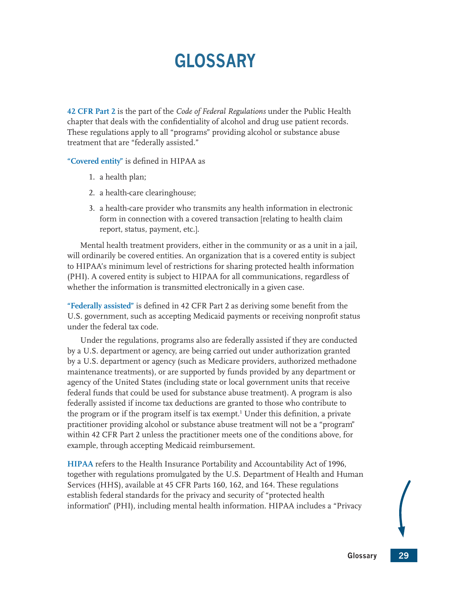# **GLOSSARY**

<span id="page-43-2"></span><span id="page-43-0"></span>**42 CFR Part 2** is the part of the *Code of Federal Regulations* under the Public Health chapter that deals with the confidentiality of alcohol and drug use patient records. These regulations apply to all "programs" providing alcohol or substance abuse treatment that are "federally assisted."

<span id="page-43-3"></span>**"Covered entity"** is defined in HIPAA as

- 1. a health plan;
- 2. a health-care clearinghouse;
- 3. a health-care provider who transmits any health information in electronic form in connection with a covered transaction [relating to health claim report, status, payment, etc.].

Mental health treatment providers, either in the community or as a unit in a jail, will ordinarily be covered entities. An organization that is a covered entity is subject to HIPAA's minimum level of restrictions for sharing protected health information (PHI). A covered entity is subject to HIPAA for all communications, regardless of whether the information is transmitted electronically in a given case.

<span id="page-43-4"></span>**"Federally assisted"** is defined in 42 CFR Part 2 as deriving some benefit from the U.S. government, such as accepting Medicaid payments or receiving nonprofit status under the federal tax code.

Under the regulations, programs also are federally assisted if they are conducted by a U.S. department or agency, are being carried out under authorization granted by a U.S. department or agency (such as Medicare providers, authorized methadone maintenance treatments), or are supported by funds provided by any department or agency of the United States (including state or local government units that receive federal funds that could be used for substance abuse treatment). A program is also federally assisted if income tax deductions are granted to those who contribute to the program or if the program itself is tax exempt.<sup>[1](#page-44-2)</sup> Under this definition, a private practitioner providing alcohol or substance abuse treatment will not be a "program" within 42 CFR Part 2 unless the practitioner meets one of the conditions above, for example, through accepting Medicaid reimbursement.

<span id="page-43-5"></span><span id="page-43-1"></span>**HIPAA** refers to the Health Insurance Portability and Accountability Act of 1996, together with regulations promulgated by the U.S. Department of Health and Human Services (HHS), available at 45 CFR Parts 160, 162, and 164. These regulations establish federal standards for the privacy and security of "protected health information" (PHI), including mental health information. HIPAA includes a "Privacy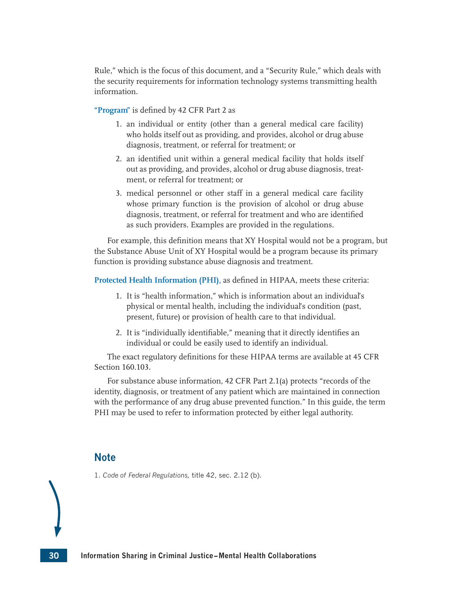Rule," which is the focus of this document, and a "Security Rule," which deals with the security requirements for information technology systems transmitting health information.

<span id="page-44-1"></span>**"Program"** is defined by 42 CFR Part 2 as

- 1. an individual or entity (other than a general medical care facility) who holds itself out as providing, and provides, alcohol or drug abuse diagnosis, treatment, or referral for treatment; or
- 2. an identified unit within a general medical facility that holds itself out as providing, and provides, alcohol or drug abuse diagnosis, treatment, or referral for treatment; or
- 3. medical personnel or other staff in a general medical care facility whose primary function is the provision of alcohol or drug abuse diagnosis, treatment, or referral for treatment and who are identified as such providers. Examples are provided in the regulations.

For example, this definition means that XY Hospital would not be a program, but the Substance Abuse Unit of XY Hospital would be a program because its primary function is providing substance abuse diagnosis and treatment.

<span id="page-44-0"></span>**Protected Health Information (PHI),** as defined in HIPAA, meets these criteria:

- 1. It is "health information," which is information about an individual's physical or mental health, including the individual's condition (past, present, future) or provision of health care to that individual.
- 2. It is "individually identifiable," meaning that it directly identifies an individual or could be easily used to identify an individual.

The exact regulatory definitions for these HIPAA terms are available at 45 CFR Section 160.103.

For substance abuse information, 42 CFR Part 2.1(a) protects "records of the identity, diagnosis, or treatment of any patient which are maintained in connection with the performance of any drug abuse prevented function." In this guide, the term PHI may be used to refer to information protected by either legal authority.

## **Note**

<span id="page-44-2"></span>[1.](#page-43-5) *Code of Federal Regulations,* title 42, sec. 2.12 (b).